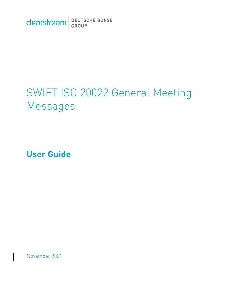Clearstream BEUTSCHE BÖRSE

# SWIFT ISO 20022 General Meeting Messages

**User Guide**

November 2021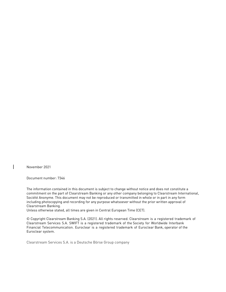November 2021

Document number: 7346

The information contained in this document is subject to change without notice and does not constitute a commitment on the part of Clearstream Banking or any other company belonging to Clearstream International, Société Anonyme. This document may not be reproduced or transmitted in whole or in part in any form including photocopying and recording for any purpose whatsoever without the prior written approval of Clearstream Banking.

Unless otherwise stated, all times are given in Central European Time (CET).

© Copyright Clearstream Banking S.A. (2021). All rights reserved. Clearstream is a registered trademark of Clearstream Services S.A. SWIFT is a registered trademark of the Society for Worldwide Interbank Financial Telecommunication. Euroclear is a registered trademark of Euroclear Bank, operator of the Euroclear system.

Clearstream Services S.A. is a Deutsche Börse Group company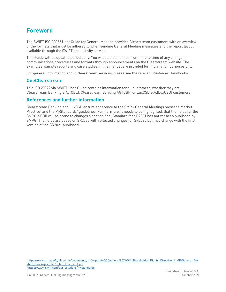# <span id="page-2-0"></span>**Foreword**

The SWIFT ISO 20022 User Guide for General Meeting provides Clearstream customers with an overview of the formats that must be adhered to when sending General Meeting messages and the report layout available through the SWIFT connectivity service.

This Guide will be updated periodically. You will also be notified from time to time of any change in communications procedures and formats through announcements on the Clearstream website. The examples, sample reports and case studies in this manual are provided for information purposes only.

For general information about Clearstream services, please see the relevant Customer Handbooks.

# <span id="page-2-1"></span>**OneClearstream**

This ISO 20022 via SWIFT User Guide contains information for all customers, whether they are Clearstream Banking S.A. (CBL), Clearstream Banking AG (CBF) or LuxCSD S.A.(LuxCSD) customers.

# <span id="page-2-2"></span>**References and further information**

Clearstream Banking and LuxCSD ensure adherence to the SMPG General Meetings message Market Practice<sup>1</sup> and the MyStandards<sup>2</sup> guidelines. Furthermore, it needs to be highlighted, that the fields for the SMPG-SRDII will be prone to changes since the final Standard for SR2021 has not yet been published by SMPG. The fields are based on SR2020 with reflected changes for SR2020 but may change with the final version of the SR2021 published.

<sup>2</sup> <https://www.swift.com/our-solutions/mystandards>

<sup>1</sup>[https://www.smpg.info/fileadmin/documents/1\\_Corporate%20Actions%20WG/I\\_Shareholder\\_Rights\\_Directive\\_II\\_MP/General\\_Me](https://www.smpg.info/fileadmin/documents/1_Corporate%20Actions%20WG/I_Shareholder_Rights_Directive_II_MP/General_Meeting_messages_SMPG_MP_Final_v1.1.pdf) [eting\\_messages\\_SMPG\\_MP\\_Final\\_v1.1.pdf](https://www.smpg.info/fileadmin/documents/1_Corporate%20Actions%20WG/I_Shareholder_Rights_Directive_II_MP/General_Meeting_messages_SMPG_MP_Final_v1.1.pdf)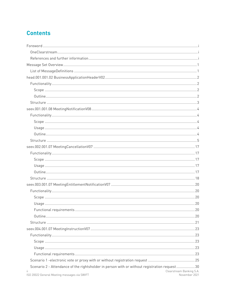# **Contents**

| Scenario 2 - Attendance of the rightsholder in person with or without registration request30 |                                           |
|----------------------------------------------------------------------------------------------|-------------------------------------------|
| Ϊİ.<br>ISO 20022 General Meeting messages via SWIFT                                          | Clearstream Banking S.A.<br>November 2021 |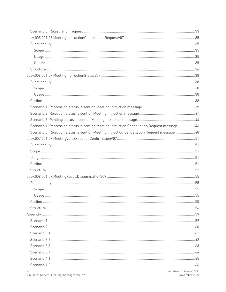| Scenario 4: Processing status is sent on Meeting Intruction Cancellation Request message 46 |  |
|---------------------------------------------------------------------------------------------|--|
| Scenario 5: Rejection status is sent on Meeting Intruction Cancellation Request message  48 |  |
|                                                                                             |  |
|                                                                                             |  |
|                                                                                             |  |
|                                                                                             |  |
|                                                                                             |  |
|                                                                                             |  |
|                                                                                             |  |
|                                                                                             |  |
|                                                                                             |  |
|                                                                                             |  |
|                                                                                             |  |
|                                                                                             |  |
|                                                                                             |  |
|                                                                                             |  |
|                                                                                             |  |
|                                                                                             |  |
|                                                                                             |  |
|                                                                                             |  |
|                                                                                             |  |
|                                                                                             |  |
|                                                                                             |  |
| Clearstream Banking S A                                                                     |  |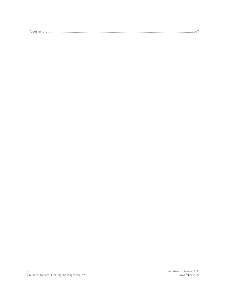| $\sim$<br>Scenario t |
|----------------------|
|----------------------|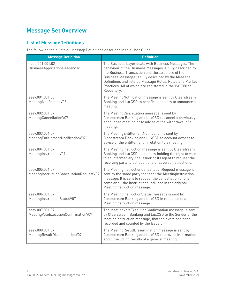# <span id="page-6-0"></span>**Message Set Overview**

# <span id="page-6-1"></span>**List of MessageDefinitions**

The following table lists all MessageDefinitions described in this User Guide.

| <b>Message Definition</b>                                   | <b>Definition</b>                                                                                                                                                                                                                                                                                                                                                 |
|-------------------------------------------------------------|-------------------------------------------------------------------------------------------------------------------------------------------------------------------------------------------------------------------------------------------------------------------------------------------------------------------------------------------------------------------|
| head.001.001.02<br>BusinessApplicationHeaderV02             | The Business Layer deals with Business Messages. The<br>behaviour of the Business Messages is fully described by<br>the Business Transaction and the structure of the<br>Business Messages is fully described by the Message<br>Definitions and related Message Rules, Rules and Market<br>Practices. All of which are registered in the ISO 20022<br>Repository. |
| seev.001.001.08<br>Meeting Notification V08                 | The MeetingNotification message is sent by Clearstream<br>Banking and LuxCSD to beneficial holders to announce a<br>meeting.                                                                                                                                                                                                                                      |
| seev.002.001.07<br>MeetingCancellationV07                   | The MeetingCancellation message is sent by<br>Clearstream Banking and LuxCSD to cancel a previously<br>announced meeting or to advise of the withdrawal of a<br>meeting.                                                                                                                                                                                          |
| seev.003.001.07<br>MeetingEntitlementNotificationV07        | The MeetingEntitlementNotification is sent by<br>Clearstream Banking and LuxCSD to account owners to<br>advise of the entitlement in relation to a meeting.                                                                                                                                                                                                       |
| seev.004.001.07<br>MeetingInstructionV07                    | The MeetingInstruction message is sent by Clearstream<br>Banking and LuxCSD customers holding the right to vote<br>to an intermediary, the issuer or its agent to request the<br>receiving party to act upon one or several instructions.                                                                                                                         |
| seev.005.001.07<br>MeetingInstructionCancellationRequestV07 | The MeetingInstructionCancellationRequest message is<br>sent by the same party that sent the MeetingInstruction<br>message. It is sent to request the cancellation of one,<br>some or all the instructions included in the original<br>MeetingInstruction message.                                                                                                |
| seev.006.001.07<br>MeetingInstructionStatusV07              | The MeetingInstructionStatus message is sent by<br>Clearstream Banking and LuxCSD in response to a<br>MeetingInstruction message.                                                                                                                                                                                                                                 |
| seev.007.001.07<br>MeetingVoteExecutionConfirmationV07      | The MeetingVoteExecutionConfirmation message is sent<br>by Clearstream Banking and LuxCSD to the Sender of the<br>MeetingInstruction message, that their vote has been<br>recorded and counted by the Issuer.                                                                                                                                                     |
| seev.008.001.07<br>MeetingResultDisseminationV07            | The MeetingResultDissemination message is sent by<br>Clearstream Banking and LuxCSD to provide information<br>about the voting results of a general meeting.                                                                                                                                                                                                      |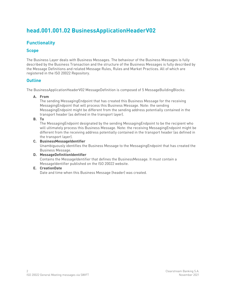# <span id="page-7-0"></span>**head.001.001.02 BusinessApplicationHeaderV02**

# <span id="page-7-1"></span>**Functionality**

# <span id="page-7-2"></span>**Scope**

The Business Layer deals with Business Messages. The behaviour of the Business Messages is fully described by the Business Transaction and the structure of the Business Messages is fully described by the Message Definitions and related Message Rules, Rules and Market Practices. All of which are registered in the ISO 20022 Repository.

## <span id="page-7-3"></span>**Outline**

The BusinessApplicationHeaderV02 MessageDefinition is composed of 5 MessageBuildingBlocks:

**A. From**

The sending MessagingEndpoint that has created this Business Message for the receiving MessagingEndpoint that will process this Business Message. Note: the sending MessagingEndpoint might be different from the sending address potentially contained in the transport header (as defined in the transport layer).

**B. To**

The MessagingEndpoint designated by the sending MessagingEndpoint to be the recipient who will ultimately process this Business Message. Note: the receiving MessagingEndpoint might be different from the receiving address potentially contained in the transport header (as defined in the transport layer).

#### **C. BusinessMessageIdentifier**

Unambiguously identifies the Business Message to the MessagingEndpoint that has created the Business Message.

# **D. MessageDefinitionIdentifier**

Contains the MessageIdentifier that defines the BusinessMessage. It must contain a MessageIdentifier published on the ISO 20022 website.

#### **E. CreationDate**

Date and time when this Business Message (header) was created.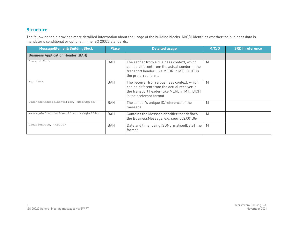The following table provides more detailled information about the usage of the building blocks. M/C/O identifies whether the business data is mandatory, conditional or optional in the ISO 20022 standards.

<span id="page-8-0"></span>

| MessageElement/BuildingBlock                         | <b>Place</b> | <b>Detailed usage</b>                                                                                                                                                   | M/C/O | <b>SRD II reference</b> |
|------------------------------------------------------|--------------|-------------------------------------------------------------------------------------------------------------------------------------------------------------------------|-------|-------------------------|
| <b>Business Application Header (BAH)</b>             |              |                                                                                                                                                                         |       |                         |
| From, $<$ Fr $>$                                     | BAH          | The sender from a business context, which<br>can be different from the actual sender in the<br>transport header (like MEOR in MT). BICFI is<br>the preferred format     | M     |                         |
| To, <to></to>                                        | <b>BAH</b>   | The receiver from a business context, which<br>can be different from the actual receiver in<br>the transport header (like MERE in MT). BICFI<br>is the preferred format | M     |                         |
| BusinessMessageIdentifier, <bizmsqidr></bizmsqidr>   | <b>BAH</b>   | The sender's unique ID/reference of the<br>message                                                                                                                      | M     |                         |
| MessageDefinitionIdentifier, <msqdefidr></msqdefidr> | BAH          | Contains the Messageldentifier that defines<br>the BusinessMessage, e.g. seev.002.001.06                                                                                | M     |                         |
| CreationDate, <credt></credt>                        | <b>BAH</b>   | Date and time, using ISONormalisedDateTime<br>format                                                                                                                    | M     |                         |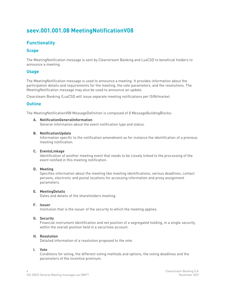# <span id="page-9-0"></span>**seev.001.001.08 MeetingNotificationV08**

# <span id="page-9-1"></span>**Functionality**

## <span id="page-9-2"></span>**Scope**

The MeetingNotification message is sent by Clearstream Banking and LuxCSD to beneficial holders to announce a meeting.

## <span id="page-9-3"></span>**Usage**

The MeetingNotification message is used to announce a meeting. It provides information about the participation details and requirements for the meeting, the vote parameters, and the resolutions. The MeetingNotification message may also be used to announce an update.

Clearsteam Banking /LuxCSD will issue separate meeting notifications per ISIN/market.

## <span id="page-9-4"></span>**Outline**

The MeetingNotificationV08 MessageDefinition is composed of 8 MessageBuildingBlocks:

#### **A. NotificationGeneralInformation**

General information about the event notification type and status.

#### **B. NotificationUpdate**

Information specific to the notification amendment as for instance the identification of a previous meeting notification.

#### **C. EventsLinkage**

Identification of another meeting event that needs to be closely linked to the processing of the event notified in this meeting notification.

#### **D. Meeting**

Specifies information about the meeting like meeting identifications, various deadlines, contact persons, electronic and postal locations for accessing information and proxy assignment parameters.

#### **E. MeetingDetails**

Dates and details of the shareholders meeting.

#### **F. Issuer**

Institution that is the issuer of the security to which the meeting applies.

#### **G. Security**

Financial instrument identification and net position of a segregated holding, in a single security, within the overall position held in a securities account.

#### **H. Resolution**

Detailed information of a resolution proposed to the vote.

#### **I. Vote**

Conditions for voting, the different voting methods and options, the voting deadlines and the parameters of the incentive premium.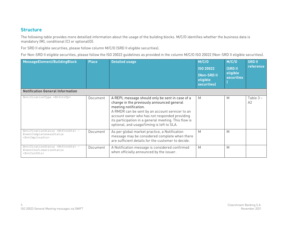The following table provides more detailled information about the usage of the building blocks. M/C/O identifies whether the business data is mandatory (M), conditional (C) or optional(O).

For SRD II eligible securities, please follow column M/C/O (SRD II eligible securities).

For Non-SRD II eligible securities, please follow the ISO 20022 guidelines as provided in the column M/C/O ISO 20022 (Non-SRD II eligible securities).

<span id="page-10-0"></span>

| MessageElement/BuildingBlock                                                                                 | <b>Place</b> | <b>Detailed usage</b>                                                                                                                                                                                                                                                                                                            | M/C/O<br><b>ISO 20022</b><br>(Non-SRD II<br>eligible<br>securities) | M/C/O<br><b>(SRDII</b><br>eligible<br><b>securities</b> | <b>SRD II</b><br>reference |
|--------------------------------------------------------------------------------------------------------------|--------------|----------------------------------------------------------------------------------------------------------------------------------------------------------------------------------------------------------------------------------------------------------------------------------------------------------------------------------|---------------------------------------------------------------------|---------------------------------------------------------|----------------------------|
| <b>Notification General Information</b>                                                                      |              |                                                                                                                                                                                                                                                                                                                                  |                                                                     |                                                         |                            |
| NotificationType <ntfctntp></ntfctntp>                                                                       | Document     | A REPL message should only be sent in case of a<br>change in the previously announced general<br>meeting notification.<br>A RMDR can be sent by an account servicer to an<br>account owner who has not responded providing<br>its participation in a general meeting. This flow is<br>optional, and usage/timing is left to SLA. | M                                                                   | M                                                       | Table 3 -<br>A2            |
| NotificationStatus <ntfctnsts> -<br/>EventCompletenessStatus<br/><evtcmpltnssts></evtcmpltnssts></ntfctnsts> | Document     | As per global market practice, a Notification<br>message may be considered complete when there<br>are sufficient details for the customer to decide.                                                                                                                                                                             | M                                                                   | M                                                       |                            |
| NotificationStatus <ntfctnsts> -<br/>EventConfirmationStatus<br/><evtconfsts></evtconfsts></ntfctnsts>       | Document     | A Notification message is considered confirmed<br>when officially announced by the issuer.                                                                                                                                                                                                                                       | M                                                                   | M                                                       |                            |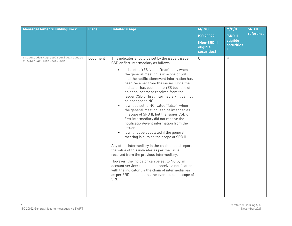| MessageElement/BuildingBlock                                                          | <b>Place</b> | <b>Detailed usage</b>                                                                                                                                                                                                                                                                                                                                                                                                                                                                                                                                                                                                                                                                                                                                                                                                                                                                                                                                                                                                                                                                                                                                          | M/C/O<br><b>ISO 20022</b><br>(Non-SRD II<br>eligible<br>securities) | M/C/O<br><b>(SRD II</b><br>eligible<br><b>securities</b> | <b>SRD II</b><br>reference |
|---------------------------------------------------------------------------------------|--------------|----------------------------------------------------------------------------------------------------------------------------------------------------------------------------------------------------------------------------------------------------------------------------------------------------------------------------------------------------------------------------------------------------------------------------------------------------------------------------------------------------------------------------------------------------------------------------------------------------------------------------------------------------------------------------------------------------------------------------------------------------------------------------------------------------------------------------------------------------------------------------------------------------------------------------------------------------------------------------------------------------------------------------------------------------------------------------------------------------------------------------------------------------------------|---------------------------------------------------------------------|----------------------------------------------------------|----------------------------|
| ShareholderRightsDirectiveIndicato<br>r <shrhldrrqhtsdrctvind></shrhldrrqhtsdrctvind> | Document     | This indicator should be set by the issuer, issuer<br>CSD or first intermediary as follows:<br>It is set to YES (value "true") only when<br>$\bullet$<br>the general meeting is in scope of SRD II<br>and the notification/event information has<br>been received from the issuer. Once the<br>indicator has been set to YES because of<br>an announcement received from the<br>issuer CSD or first intermediary, it cannot<br>be changed to NO.<br>It will be set to NO (value "false") when<br>the general meeting is to be intended as<br>in scope of SRD II, but the issuer CSD or<br>first intermediary did not receive the<br>notification/event information from the<br>issuer.<br>It will not be populated if the general<br>meeting is outside the scope of SRD II.<br>Any other intermediary in the chain should report<br>the value of this indicator as per the value<br>received from the previous intermediary.<br>However, the indicator can be set to NO by an<br>account servicer that did not receive a notification<br>with the indicator via the chain of intermediaries<br>as per SRD II but deems the event to be in scope of<br>SRD II. | 0                                                                   | M                                                        |                            |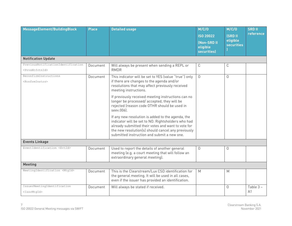| MessageElement/BuildingBlock                                        | <b>Place</b> | <b>Detailed usage</b>                                                                                                                                                                                                                                                                                                                                                                                                                                                                                                                                                                                                  | M/C/O<br><b>ISO 20022</b><br>(Non-SRD II<br>eligible<br><b>securities</b> ) | M/C/O<br><b>ISRD II</b><br>eligible<br><b>securities</b> | <b>SRD II</b><br>reference |  |
|---------------------------------------------------------------------|--------------|------------------------------------------------------------------------------------------------------------------------------------------------------------------------------------------------------------------------------------------------------------------------------------------------------------------------------------------------------------------------------------------------------------------------------------------------------------------------------------------------------------------------------------------------------------------------------------------------------------------------|-----------------------------------------------------------------------------|----------------------------------------------------------|----------------------------|--|
| <b>Notification Update</b>                                          |              |                                                                                                                                                                                                                                                                                                                                                                                                                                                                                                                                                                                                                        |                                                                             |                                                          |                            |  |
| PreviousNotificationIdentification<br><prvsntfctnid></prvsntfctnid> | Document     | Will always be present when sending a REPL or<br><b>RMDR</b>                                                                                                                                                                                                                                                                                                                                                                                                                                                                                                                                                           | C                                                                           | C                                                        |                            |  |
| ReconfirmInstructions<br><rcnfrminstrs></rcnfrminstrs>              | Document     | This indicator will be set to YES (value "true") only<br>if there are changes to the agenda and/or<br>resolutions that may affect previously received<br>meeting instructions.<br>If previously received meeting instructions can no<br>longer be processed/accepted, they will be<br>rejected (reason code OTHR should be used in<br>seev.006).<br>If any new resolution is added to the agenda, the<br>indicator will be set to NO. Rightsholders who had<br>already submitted their votes and want to vote for<br>the new resolution(s) should cancel any previously<br>submitted instruction and submit a new one. | $\Omega$                                                                    | $\Omega$                                                 |                            |  |
| <b>Events Linkage</b>                                               |              |                                                                                                                                                                                                                                                                                                                                                                                                                                                                                                                                                                                                                        |                                                                             |                                                          |                            |  |
| EventIdentification <evtid></evtid>                                 | Document     | Used to report the details of another general<br>meeting (e.g. a court meeting that will follow an<br>extraordinary general meeting).                                                                                                                                                                                                                                                                                                                                                                                                                                                                                  | $\Omega$                                                                    | $\Omega$                                                 |                            |  |
| <b>Meeting</b>                                                      |              |                                                                                                                                                                                                                                                                                                                                                                                                                                                                                                                                                                                                                        |                                                                             |                                                          |                            |  |
| MeetingIdentification <mtgid></mtgid>                               | Document     | This is the Clearstream/Lux CSD identification for<br>the general meeting. It will be used in all cases,<br>even if the issuer has provided an identification.                                                                                                                                                                                                                                                                                                                                                                                                                                                         | M                                                                           | M                                                        |                            |  |
| IssuerMeetingIdentification<br><issrmtqid></issrmtqid>              | Document     | Will always be stated if received.                                                                                                                                                                                                                                                                                                                                                                                                                                                                                                                                                                                     |                                                                             | $\Omega$                                                 | Table 3-<br>A <sub>1</sub> |  |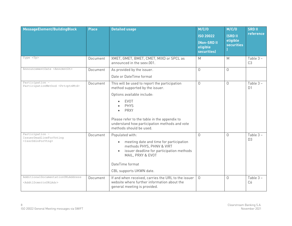| MessageElement/BuildingBlock                                                      | <b>Place</b> | <b>Detailed usage</b>                                                                                                                                                                                                                                                                   | M/C/O<br><b>ISO 20022</b><br>(Non-SRD II<br>eligible<br>securities) | M/C/O<br><b>ISRD II</b><br>eligible<br><b>securities</b> | <b>SRD II</b><br>reference |
|-----------------------------------------------------------------------------------|--------------|-----------------------------------------------------------------------------------------------------------------------------------------------------------------------------------------------------------------------------------------------------------------------------------------|---------------------------------------------------------------------|----------------------------------------------------------|----------------------------|
| Type <tp></tp>                                                                    | Document     | XMET, GMET, BMET, CMET, MIXD or SPCL as<br>announced in the seev.001.                                                                                                                                                                                                                   | M                                                                   | M                                                        | Table 3-<br>C <sub>3</sub> |
| AnnouncementDate <anncmntdt></anncmntdt>                                          | Document     | As provided by the issuer.<br>Date or DateTime format                                                                                                                                                                                                                                   | $\Omega$                                                            | $\Omega$                                                 |                            |
| Participation -<br>ParticipationMethod <prtcptnmtd></prtcptnmtd>                  | Document     | This will be used to report the participation<br>method supported by the issuer.<br>Options available include:<br><b>EVOT</b><br><b>PHYS</b><br><b>PRXY</b><br>Please refer to the table in the appendix to<br>understand how participation methods and vote<br>methods should be used. | $\overline{0}$                                                      | $\Omega$                                                 | Table 3-<br>D <sub>1</sub> |
| Participation -<br>IssuerDeadlineForVoting<br><issrddlnforvtng></issrddlnforvtng> | Document     | Populated with:<br>meeting date and time for participation<br>$\bullet$<br>methods PHYS, PHNV & VIRT<br>issuer deadline for participation methods<br>$\bullet$<br>MAIL, PRXY & EVOT<br>DateTime format<br>CBL supports UKWN date.                                                       | $\Omega$                                                            | $\overline{0}$                                           | Table 3-<br>D <sub>3</sub> |
| AdditionalDocumentationURLAddress<br><addtldcmnttnurladr></addtldcmnttnurladr>    | Document     | If and when received, carries the URL to the issuer<br>website where further information about the<br>general meeting is provided.                                                                                                                                                      | $\Omega$                                                            | $\Omega$                                                 | Table 3-<br>C <sub>6</sub> |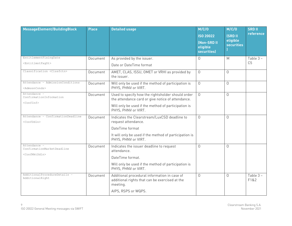| MessageElement/BuildingBlock                                    | <b>Place</b> | <b>Detailed usage</b>                                                                                                             | M/C/O<br><b>ISO 20022</b><br>(Non-SRD II<br>eligible<br>securities) | M/C/O<br><b>(SRD II</b><br>eligible<br><b>securities</b> | <b>SRD II</b><br>reference |
|-----------------------------------------------------------------|--------------|-----------------------------------------------------------------------------------------------------------------------------------|---------------------------------------------------------------------|----------------------------------------------------------|----------------------------|
| EntitlementFixingDate                                           | Document     | As provided by the issuer.                                                                                                        | 0                                                                   | M                                                        | Table 3-                   |
| <entitlmntfxqdt></entitlmntfxqdt>                               |              | Date or DateTime format                                                                                                           |                                                                     |                                                          | C <sub>5</sub>             |
| Classification <clssfctn></clssfctn>                            | Document     | AMET, CLAS, ISSU, OMET or VRHI as provided by<br>the issuer.                                                                      | $\Omega$                                                            | $\Omega$                                                 |                            |
| Attendance - AdmissionConditions<br><admssnconds></admssnconds> | Document     | Will only be used if the method of participation is<br>PHYS, PHNV or VIRT.                                                        | $\overline{0}$                                                      | $\Omega$                                                 |                            |
| Attendance -<br>ConfirmationInformation                         | Document     | Used to specify how the rightsholder should order<br>the attendance card or give notice of attendance.                            | $\Omega$                                                            | $\Omega$                                                 |                            |
| <confinf></confinf>                                             |              | Will only be used if the method of participation is<br>PHYS, PHNV or VIRT.                                                        |                                                                     |                                                          |                            |
| Attendance - ConfirmationDeadline<br><confddln></confddln>      | Document     | Indicates the Clearstream/LuxCSD deadline to<br>request attendance.                                                               | $\Omega$                                                            | $\Omega$                                                 |                            |
|                                                                 |              | DateTime format                                                                                                                   |                                                                     |                                                          |                            |
|                                                                 |              | It will only be used if the method of participation is<br>PHYS, PHNV or VIRT.                                                     |                                                                     |                                                          |                            |
| Attendance -<br>ConfirmationMarketDeadline                      | Document     | Indicates the issuer deadline to request<br>attendance.                                                                           | 0                                                                   | $\Omega$                                                 |                            |
| <confmktddln></confmktddln>                                     |              | DateTime format.                                                                                                                  |                                                                     |                                                          |                            |
|                                                                 |              | Will only be used if the method of participation is<br>PHYS, PHNV or VIRT.                                                        |                                                                     |                                                          |                            |
| AdditionalProcedureDetails -<br>AdditionalRight                 | Document     | Additional procedural information in case of<br>additional rights that can be exercised at the<br>meeting.<br>AIPS, RSPS or WQPS. | $\Omega$                                                            | $\Omega$                                                 | Table $3 -$<br>F1&2        |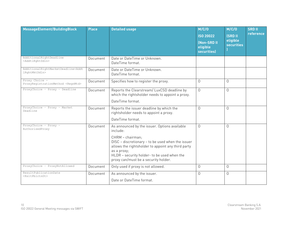| MessageElement/BuildingBlock                                      | <b>Place</b> | <b>Detailed usage</b>                                                                                                                                                                                                             | M/C/O<br><b>ISO 20022</b><br>(Non-SRD II<br>eligible<br><b>securities)</b> | M/C/O<br><b>(SRD II</b><br>eligible<br><b>securities</b> | <b>SRD II</b><br>reference |
|-------------------------------------------------------------------|--------------|-----------------------------------------------------------------------------------------------------------------------------------------------------------------------------------------------------------------------------------|----------------------------------------------------------------------------|----------------------------------------------------------|----------------------------|
| AdditionalRightDeadline<br><addtlrghtddln></addtlrghtddln>        | Document     | Date or DateTime or Unknown.<br>DateTime format.                                                                                                                                                                                  |                                                                            |                                                          |                            |
| AdditionalRightMarketDeadline <addt<br>lRghtMktDdln&gt;</addt<br> | Document     | Date or DateTime or Unknown.<br>DateTime format.                                                                                                                                                                                  |                                                                            |                                                          |                            |
| Proxy Choice -<br>ProxyRegistrationMethod <regnmtd></regnmtd>     | Document     | Specifies how to register the proxy.                                                                                                                                                                                              | $\Omega$                                                                   | $\Omega$                                                 |                            |
| ProxyChoice - Proxy - Deadline                                    | Document     | Reports the Clearstream/LuxCSD deadline by<br>which the rightsholder needs to appoint a proxy.                                                                                                                                    | $\Omega$                                                                   | $\Omega$                                                 |                            |
|                                                                   |              | DateTime format.                                                                                                                                                                                                                  |                                                                            |                                                          |                            |
| ProxyChoice - Proxy - Market<br>Deadline                          | Document     | Reports the issuer deadline by which the<br>rightsholder needs to appoint a proxy.                                                                                                                                                | $\Omega$                                                                   | $\Omega$                                                 |                            |
|                                                                   |              | DateTime format.                                                                                                                                                                                                                  |                                                                            |                                                          |                            |
| ProxyChoice - Proxy -<br>AuthorisedProxy                          | Document     | As announced by the issuer. Options available<br>include:                                                                                                                                                                         | 0                                                                          | $\Omega$                                                 |                            |
|                                                                   |              | CHRM - chairman:<br>DISC - discretionary - to be used when the issuer<br>allows the rightsholder to appoint any third party<br>as a proxy;<br>HLDR - security holder- to be used when the<br>proxy can/must be a security holder. |                                                                            |                                                          |                            |
| ProxyChoice - ProxyNotAllowed                                     | Document     | Only used if proxy is not allowed.                                                                                                                                                                                                | 0                                                                          | $\overline{0}$                                           |                            |
| ResultPublicationDate<br><rsltpblctndt></rsltpblctndt>            | Document     | As announced by the issuer.<br>Date or DateTime format.                                                                                                                                                                           | $\Omega$                                                                   | $\Omega$                                                 |                            |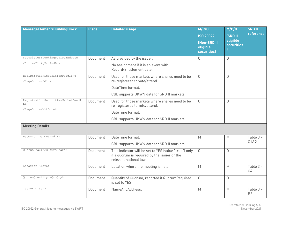| MessageElement/BuildingBlock                                                   | <b>Place</b> | <b>Detailed usage</b>                                                                                                           | M/C/O<br><b>ISO 20022</b><br>(Non-SRD II<br>eligible<br>securities) | M/C/O<br><b>(SRD II</b><br>eligible<br><b>securities</b> | <b>SRD II</b><br>reference    |
|--------------------------------------------------------------------------------|--------------|---------------------------------------------------------------------------------------------------------------------------------|---------------------------------------------------------------------|----------------------------------------------------------|-------------------------------|
| SecuritiesBlockingPeriodEndDate<br><sctiesblckgprdenddt></sctiesblckgprdenddt> | Document     | As provided by the issuer.                                                                                                      | $\mathsf{O}$                                                        | $\Omega$                                                 |                               |
|                                                                                |              | No assignment if it is an event with<br>Record/Entitlement date.                                                                |                                                                     |                                                          |                               |
| RegistrationSecuritiesDeadline<br><regnsctiesddln></regnsctiesddln>            | Document     | Used for those markets where shares need to be<br>re-registered to vote/attend.                                                 | $\Omega$                                                            | $\Omega$                                                 |                               |
|                                                                                |              | DateTime format.                                                                                                                |                                                                     |                                                          |                               |
|                                                                                |              | CBL supports UKWN date for SRD II markets.                                                                                      |                                                                     |                                                          |                               |
| RegistrationSecuritiesMarketDeadli<br>ne                                       | Document     | Used for those markets where shares need to be<br>re-registered to vote/attend.                                                 | $\Omega$                                                            | $\Omega$                                                 |                               |
| <regnsctiesmktddln></regnsctiesmktddln>                                        |              | DateTime format.                                                                                                                |                                                                     |                                                          |                               |
|                                                                                |              | CBL supports UKWN date for SRD II markets.                                                                                      |                                                                     |                                                          |                               |
| <b>Meeting Details</b>                                                         |              |                                                                                                                                 |                                                                     |                                                          |                               |
| DateAndTime <dtandtm></dtandtm>                                                | Document     | DateTime format.                                                                                                                | M                                                                   | M                                                        | Table 3-                      |
|                                                                                |              | CBL supports UKWN date for SRD II markets.                                                                                      |                                                                     |                                                          | C1&2                          |
| QuorumRequired <qrmreqrd></qrmreqrd>                                           | Document     | This indicator will be set to YES (value "true") only<br>if a quorum is required by the issuer or the<br>relevant national law. | $\Omega$                                                            | $\Omega$                                                 |                               |
| Location <lctn></lctn>                                                         | Document     | Location where the meeting is held.                                                                                             | M                                                                   | M                                                        | Table $3 -$<br>C <sub>4</sub> |
| QuorumQuantity <qrmqty></qrmqty>                                               | Document     | Quantity of Quorum, reported if QuorumRequired<br>is set to YES                                                                 | $\Omega$                                                            | $\Omega$                                                 |                               |
| Issuer <issr></issr>                                                           | Document     | NameAndAddress.                                                                                                                 | M                                                                   | M                                                        | Table 3-<br>B <sub>2</sub>    |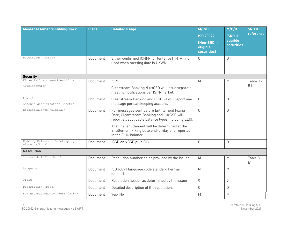| MessageElement/BuildingBlock                                     | <b>Place</b> | <b>Detailed usage</b>                                                                                                                                                                                                                                                         | M/C/O<br><b>ISO 20022</b><br>(Non-SRD II<br>eligible<br>securities) | M/C/O<br><b>ISRD II</b><br>eligible<br><b>securities</b> | <b>SRD II</b><br>reference |
|------------------------------------------------------------------|--------------|-------------------------------------------------------------------------------------------------------------------------------------------------------------------------------------------------------------------------------------------------------------------------------|---------------------------------------------------------------------|----------------------------------------------------------|----------------------------|
| DateStatus <dtsts></dtsts>                                       | Document     | Either confirmed (CNFR) or tentative (TNTA); not<br>used when meeting date is UKWN                                                                                                                                                                                            | 0                                                                   | $\Omega$                                                 |                            |
| <b>Security</b>                                                  |              |                                                                                                                                                                                                                                                                               |                                                                     |                                                          |                            |
| FinancialInstrumentIdentification<br><fininstrmid></fininstrmid> | Document     | ISIN.<br>Clearsteam Banking /LuxCSD will issue separate<br>meeting notifications per ISIN/market.                                                                                                                                                                             | M                                                                   | M                                                        | Table 3-<br><b>B1</b>      |
| Position -<br>AccountIdentification <acctid></acctid>            | Document     | Clearstream Banking and LuxCSD will report one<br>message per safekeeping account.                                                                                                                                                                                            | $\Omega$                                                            | $\Omega$                                                 |                            |
| HoldingBalance <hldgbal></hldgbal>                               | Document     | For messages sent before Entitlement Fixing<br>Date, Clearstream Banking and LuxCSD will<br>report all applicable balance types including ELIG.<br>The final entitlement will be determined at the<br>Entitlement Fixing Date end-of-day and reported<br>in the ELIG balance. | $\Omega$                                                            | $\Omega$                                                 |                            |
| Holding Balance - Safekeeping<br>Place <sfkpqplc></sfkpqplc>     | Document     | ICSD or NCSD plus BIC.                                                                                                                                                                                                                                                        | 0                                                                   | $\Omega$                                                 |                            |
| <b>Resolution</b>                                                |              |                                                                                                                                                                                                                                                                               |                                                                     |                                                          |                            |
| IssuerLabel <issrlabl></issrlabl>                                | Document     | Resolution numbering as provided by the issuer.                                                                                                                                                                                                                               | M                                                                   | M                                                        | Table 3-<br>E <sub>1</sub> |
| Language                                                         | Document     | ISO 639-1 language code standard ('en' as<br>default).                                                                                                                                                                                                                        | M                                                                   | M                                                        |                            |
| Title                                                            | Document     | Resolution header as determined by the issuer.                                                                                                                                                                                                                                | $\Omega$                                                            | $\Omega$                                                 |                            |
| Description <desc></desc>                                        | Document     | Detailed description of the resolution.                                                                                                                                                                                                                                       | $\overline{0}$                                                      | $\Omega$                                                 |                            |
| ForInformationOnly <forinfonly></forinfonly>                     | Document     | Yes/No                                                                                                                                                                                                                                                                        | M                                                                   | M                                                        |                            |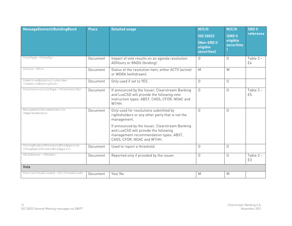| MessageElement/BuildingBlock                                                                | <b>Place</b> | <b>Detailed usage</b>                                                                                                                                            | M/C/O<br><b>ISO 20022</b><br><b>(Non-SRD II</b><br>eligible<br>securities) | M/C/O<br><b>ISRD II</b><br>eligible<br><b>securities</b> | <b>SRD II</b><br>reference    |
|---------------------------------------------------------------------------------------------|--------------|------------------------------------------------------------------------------------------------------------------------------------------------------------------|----------------------------------------------------------------------------|----------------------------------------------------------|-------------------------------|
| VoteType <votetp></votetp>                                                                  | Document     | Impact of vote results on an agenda resolution:<br>ADVIsory or BNDG (binding).                                                                                   | $\overline{0}$                                                             | $\Omega$                                                 | Table $3 -$<br>E4             |
| Status <sts></sts>                                                                          | Document     | Status of the resolution item, either ACTV (active)<br>or WDRA (withdrawn).                                                                                      | M                                                                          | M                                                        |                               |
| SubmittedBySecurityHolder<br><submittdbysctyhldr></submittdbysctyhldr>                      | Document     | Only used if set to YES.                                                                                                                                         | $\mathsf{O}$                                                               | $\Omega$                                                 |                               |
| VoteInstructionType <voteinstrtp></voteinstrtp>                                             | Document     | If announced by the Issuer, Clearstream Banking<br>and LuxCSD will provide the following vote<br>instruction types: ABST, CAGS, CFOR, NOAC and<br>WTHH.          | $\Omega$                                                                   | $\Omega$                                                 | Table $3 -$<br>E <sub>5</sub> |
| ManagementRecommendation<br><mgmtrcmmndtn></mgmtrcmmndtn>                                   | Document     | Only used for resolutions submitted by<br>rightsholders or any other party that is not the<br>management.                                                        | $\Omega$                                                                   | $\Omega$                                                 |                               |
|                                                                                             |              | If announced by the Issuer, Clearstream Banking<br>and LuxCSD will provide the following<br>management recommendation types: ABST,<br>CAGS, CFOR, NOAC and WTHH. |                                                                            |                                                          |                               |
| VotingRightsThresholdForApproval<br><vtngrghtsthrshldforapprvl></vtngrghtsthrshldforapprvl> | Document     | Used to report a threshold.                                                                                                                                      | $\overline{O}$                                                             | $\Omega$                                                 |                               |
| URLAddress <urladr></urladr>                                                                | Document     | Reported only if provided by the issuer.                                                                                                                         | $\mathsf{O}$                                                               | $\mathsf{O}$                                             | Table $3 -$<br>E <sub>3</sub> |
| <b>Vote</b>                                                                                 |              |                                                                                                                                                                  |                                                                            |                                                          |                               |
| PartialVoteAllowed <prtlvoteallwd></prtlvoteallwd>                                          | Document     | Yes/No                                                                                                                                                           | M                                                                          | M                                                        |                               |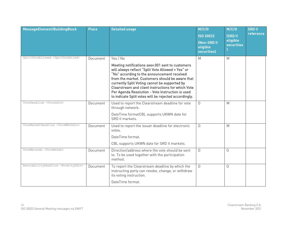| MessageElement/BuildingBlock                     | <b>Place</b> | <b>Detailed usage</b>                                                                                                                                                                                                                                                                                                                                                                                                                   | M/C/O<br><b>ISO 20022</b><br>(Non-SRD II<br>eligible<br>securities) | M/C/O<br><b>ISRD II</b><br>eligible<br><b>securities</b> | <b>SRD II</b><br>reference |
|--------------------------------------------------|--------------|-----------------------------------------------------------------------------------------------------------------------------------------------------------------------------------------------------------------------------------------------------------------------------------------------------------------------------------------------------------------------------------------------------------------------------------------|---------------------------------------------------------------------|----------------------------------------------------------|----------------------------|
| SplitVoteAllowed <spltvoteallwd></spltvoteallwd> | Document     | Yes / No<br>Meeting notifications seev.001 sent to customers<br>will always reflect "Split Vote Allowed = Yes" or<br>"No" according to the announcement received<br>from the market. Customers should be aware that<br>currently Split Voting cannot be supported by<br>Clearstream and client instructions for which Vote<br>Per Agenda Resolution - Vote Instruction is used<br>to indicate Split votes will be rejected accordingly. | M                                                                   | M                                                        |                            |
| VoteDeadline <voteddln></voteddln>               | Document     | Used to report the Clearstream deadline for vote<br>through network.<br>DateTime formatCBL supports UKWN date for<br>SRD II markets.                                                                                                                                                                                                                                                                                                    | $\Omega$                                                            | M                                                        |                            |
| VoteMarketDeadline <votemktddln></votemktddln>   | Document     | Used to report the issuer deadline for electronic<br>votes.<br>DateTime format.<br>CBL supports UKWN date for SRD II markets.                                                                                                                                                                                                                                                                                                           | $\Omega$                                                            | M                                                        |                            |
| VoteMethods <votemthds></votemthds>              | Document     | Direction/address where the vote should be sent<br>to. To be used together with the participation<br>method.                                                                                                                                                                                                                                                                                                                            | 0                                                                   | $\Omega$                                                 |                            |
| RevocabilityDeadline <rvcbltyddln></rvcbltyddln> | Document     | To report the Clearstream deadline by which the<br>instructing party can revoke, change, or withdraw<br>its voting instruction.<br>DateTime format.                                                                                                                                                                                                                                                                                     | $\Omega$                                                            | $\Omega$                                                 |                            |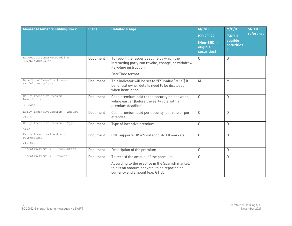| MessageElement/BuildingBlock                                        | <b>Place</b> | <b>Detailed usage</b>                                                                                                                                                          | M/C/O<br><b>ISO 20022</b><br><b>(Non-SRD II</b><br>eligible<br>securities) | M/C/O<br><b>(SRD II)</b><br>eligible<br><b>securities</b> | <b>SRD II</b><br>reference |
|---------------------------------------------------------------------|--------------|--------------------------------------------------------------------------------------------------------------------------------------------------------------------------------|----------------------------------------------------------------------------|-----------------------------------------------------------|----------------------------|
| RevocabilityMarketDeadline<br><rvcbltymktddln></rvcbltymktddln>     | Document     | To report the issuer deadline by which the<br>instructing party can revoke, change, or withdraw<br>its voting instruction.<br>DateTime format.                                 | $\Omega$                                                                   | $\Omega$                                                  |                            |
| BeneficialOwnerDisclosure<br><bnfclownrdsclsr></bnfclownrdsclsr>    | Document     | This indicator will be set to YES (value "true") if<br>beneficial owner details need to be disclosed<br>when instructing.                                                      | M                                                                          | M                                                         |                            |
| Early IncentivePremium -<br>Description<br>$\langle$ Desc $\rangle$ | Document     | Cash premium paid to the security holder when<br>voting earlier (before the early vote with a<br>premium deadline).                                                            | $\Omega$                                                                   | $\Omega$                                                  |                            |
| Early IncentivePremium - Amount<br>$<$ Amt $>$                      | Document     | Cash premium paid per security, per vote or per<br>attendee.                                                                                                                   | $\Omega$                                                                   | $\Omega$                                                  |                            |
| Early IncentivePremium - Type<br>$<$ T $p$                          | Document     | Type of incentive premium.                                                                                                                                                     | $\Omega$                                                                   | $\Omega$                                                  |                            |
| Early IncentivePremium -<br>PaymentDate<br><pmtdt></pmtdt>          | Document     | CBL supports UKWN date for SRD II markets.                                                                                                                                     | $\Omega$                                                                   | $\Omega$                                                  |                            |
| IncentivePremium - Description                                      | Document     | Description of the premium                                                                                                                                                     | $\Omega$                                                                   | 0                                                         |                            |
| IncentivePremium - Amount                                           | Document     | To record the amount of the premium.<br>According to the practice in the Spanish market,<br>this is an amount per vote, to be reported as<br>currency and amount (e.g. €1.50). | $\mathsf{O}$                                                               | $\Omega$                                                  |                            |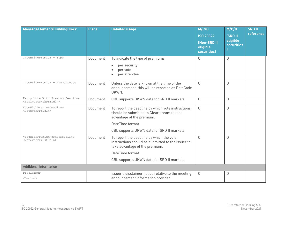| MessageElement/BuildingBlock                                                    | <b>Place</b> | <b>Detailed usage</b>                                                                                                                           | M/C/O<br><b>ISO 20022</b><br>(Non-SRD II<br>eligible<br><b>securities</b> ) | M/C/O<br><b>ISRD II</b><br>eligible<br><b>securities</b> | <b>SRD II</b><br>reference |
|---------------------------------------------------------------------------------|--------------|-------------------------------------------------------------------------------------------------------------------------------------------------|-----------------------------------------------------------------------------|----------------------------------------------------------|----------------------------|
| IncentivePremium - Type                                                         | Document     | To indicate the type of premium:<br>per security<br>$\bullet$<br>per vote<br>per attendee                                                       | $\Omega$                                                                    | $\Omega$                                                 |                            |
| IncentivePremium - PaymentDate                                                  | Document     | Unless the date is known at the time of the<br>announcement, this will be reported as DateCode<br>UKWN.                                         | $\Omega$                                                                    | $\Omega$                                                 |                            |
| Early Vote With Premium Deadline<br><earlyvotewthprmddln></earlyvotewthprmddln> | Document     | CBL supports UKWN date for SRD II markets.                                                                                                      | $\Omega$                                                                    | $\Omega$                                                 |                            |
| VoteWithPremiumDeadline<br><votewthprmddln></votewthprmddln>                    | Document     | To report the deadline by which vote instructions<br>should be submitted to Clearstream to take<br>advantage of the premium.<br>DateTime format | $\Omega$                                                                    | $\Omega$                                                 |                            |
|                                                                                 |              | CBL supports UKWN date for SRD II markets.                                                                                                      |                                                                             |                                                          |                            |
| VoteWithPremiumMarketDeadline<br><votewthprmmktddln></votewthprmmktddln>        | Document     | To report the deadline by which the vote<br>instructions should be submitted to the issuer to<br>take advantage of the premium.                 | $\Omega$                                                                    | $\Omega$                                                 |                            |
|                                                                                 |              | DateTime format.                                                                                                                                |                                                                             |                                                          |                            |
|                                                                                 |              | CBL supports UKWN date for SRD II markets.                                                                                                      |                                                                             |                                                          |                            |
| <b>Additional Information</b>                                                   |              |                                                                                                                                                 |                                                                             |                                                          |                            |
| Disclaimer<br><dsclmr></dsclmr>                                                 |              | Issuer's disclaimer notice relative to the meeting<br>announcement information provided.                                                        | $\mathbf 0$                                                                 | $\Omega$                                                 |                            |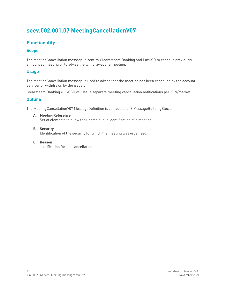# <span id="page-22-0"></span>**seev.002.001.07 MeetingCancellationV07**

# <span id="page-22-1"></span>**Functionality**

# <span id="page-22-2"></span>**Scope**

The MeetingCancellation message is sent by Clearstream Banking and LuxCSD to cancel a previously announced meeting or to advise the withdrawal of a meeting.

# <span id="page-22-3"></span>**Usage**

The MeetingCancellation message is used to advise that the meeting has been cancelled by the account servicer or withdrawn by the issuer.

Clearsteam Banking /LuxCSD will issue separate meeting cancellation notifications per ISIN/market.

# <span id="page-22-4"></span>**Outline**

The MeetingCancellationV07 MessageDefinition is composed of 3 MessageBuildingBlocks:

- **A. MeetingReference** Set of elements to allow the unambiguous identification of a meeting.
- **B. Security**

Identification of the security for which the meeting was organised.

**C. Reason** Justification for the cancellation.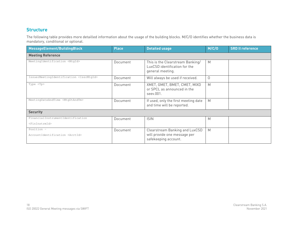The following table provides more detailled information about the usage of the building blocks. M/C/O identifies whether the business data is mandatory, conditional or optional.

<span id="page-23-0"></span>

| MessageElement/BuildingBlock                                     | <b>Place</b> | <b>Detailed usage</b>                                                                  | M/C/O    | <b>SRD II reference</b> |  |  |  |  |
|------------------------------------------------------------------|--------------|----------------------------------------------------------------------------------------|----------|-------------------------|--|--|--|--|
| <b>Meeting Reference</b>                                         |              |                                                                                        |          |                         |  |  |  |  |
| MeetingIdentification <mtgid></mtgid>                            | Document     | This is the Clearstream Banking/<br>LuxCSD identification for the<br>general meeting.  | M        |                         |  |  |  |  |
| IssuerMeetingIdentification <issrmtgid></issrmtgid>              | Document     | Will always be used if received.                                                       | $\Omega$ |                         |  |  |  |  |
| Type <tp></tp>                                                   | Document     | XMET, GMET, BMET, CMET, MIXD<br>or SPCL as announced in the<br>seev.001.               | M        |                         |  |  |  |  |
| MeetingDateAndTime <mtgdtandtm></mtgdtandtm>                     | Document     | If used, only the first meeting date<br>and time will be reported.                     | M        |                         |  |  |  |  |
| <b>Security</b>                                                  |              |                                                                                        |          |                         |  |  |  |  |
| FinancialInstrumentIdentification<br><fininstrmid></fininstrmid> | Document     | <b>ISIN</b>                                                                            | Μ        |                         |  |  |  |  |
| Position -<br>AccountIdentification <acctid></acctid>            | Document     | Clearstream Banking and LuxCSD<br>will provide one message per<br>safekeeping account. | M        |                         |  |  |  |  |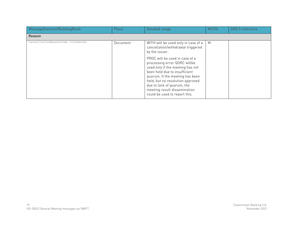| MessageElement/BuildingBlock                 | Place    | Detailed usage                                                                                                                                                                                                                                                                                                                                                                                          | M/C/O | <b>SRD II reference</b> |
|----------------------------------------------|----------|---------------------------------------------------------------------------------------------------------------------------------------------------------------------------------------------------------------------------------------------------------------------------------------------------------------------------------------------------------------------------------------------------------|-------|-------------------------|
| <b>Reason</b>                                |          |                                                                                                                                                                                                                                                                                                                                                                                                         |       |                         |
| CancellationReasonCode <cxlrsncd></cxlrsncd> | Document | WITH will be used only in case of a<br>cancellation/withdrawal triggered<br>by the issuer.<br>PROC will be used in case of a<br>processing error QORC willbe<br>used only if the meeting has not<br>been held due to insufficient<br>quorum. If the meeting has been<br>held, but no resolution approved<br>due to lack of quorum, the<br>meeting result dissemination<br>could be used to report this. | M     |                         |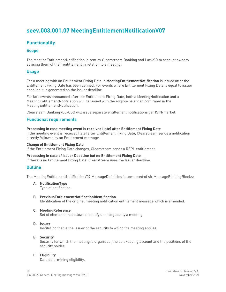# <span id="page-25-0"></span>**seev.003.001.07 MeetingEntitlementNotificationV07**

# <span id="page-25-1"></span>**Functionality**

## <span id="page-25-2"></span>**Scope**

The MeetingEntitlementNotification is sent by Clearstream Banking and LuxCSD to account owners advising them of their entitlement in relation to a meeting.

## <span id="page-25-3"></span>**Usage**

For a meeting with an Entitlement Fixing Date, a **MeetingEntitlementNotification** is issued after the Entitlement Fixing Date has been defined. For events where Entitlement Fixing Date is equal to issuer deadline it is generated on the issuer deadline.

For late events announced after the Entitlement Fixing Date, both a MeetingNotification and a MeetingEntitlementNotification will be issued with the eligible balanced confirmed in the MeetingEntitlementNotification.

Clearsteam Banking /LuxCSD will issue separate entitlement notifications per ISIN/market.

## <span id="page-25-4"></span>**Functional requirements**

#### **Processing in case meeting event is received (late) after Entitlement Fixing Date**

If the meeting event is received (late) after Entitlement Fixing Date, Clearstream sends a notification directly followed by an Entitlement message.

#### **Change of Entitlement Fixing Date**

If the Entitlement Fixing Date changes, Clearstream sends a REPL entitlement.

#### **Processing in case of Issuer Deadline but no Entitlement Fixing Date**

If there is no Entitlement Fixing Date, Clearstream uses the Issuer deadline.

## <span id="page-25-5"></span>**Outline**

The MeetingEntitlementNotificationV07 MessageDefinition is composed of six MessageBuildingBlocks:

**A. NotificationType**

Type of notification.

- **B.** Previous Entitlement Notification Identification Identification of the original meeting notification entitlement message which is amended.
- **C. MeetingReference** Set of elements that allow to identify unambiguously a meeting.

#### **D. Issuer**

Institution that is the issuer of the security to which the meeting applies.

#### **E. Security**

Security for which the meeting is organised, the safekeeping account and the positions of the security holder.

#### **F. Eligibility**

Date determining eligibility.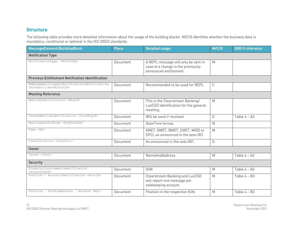The following table provides more detailled information about the usage of the building blocks. M/C/O identifies whether the business data is mandatory, conditional or optional in the ISO 20022 standards.

<span id="page-26-0"></span>

| MessageElement/BuildingBlock                                                                      | <b>Place</b> | <b>Detailed usage</b>                                                                               | M/C/O    | <b>SRD II reference</b> |  |  |  |  |
|---------------------------------------------------------------------------------------------------|--------------|-----------------------------------------------------------------------------------------------------|----------|-------------------------|--|--|--|--|
| <b>Notification Type</b>                                                                          |              |                                                                                                     |          |                         |  |  |  |  |
| NotificationType, <ntfctntp></ntfctntp>                                                           | Document     | A REPL message will only be sent in<br>case of a change in the previously<br>announced entitlement. | M        |                         |  |  |  |  |
| <b>Previous Entitlement Notification Identification</b>                                           |              |                                                                                                     |          |                         |  |  |  |  |
| PreviousEntitlementNotificationIdentification,<br><prvsentitlmntntfctnid></prvsentitlmntntfctnid> | Document     | Recommended to be used for REPL                                                                     | С        |                         |  |  |  |  |
| <b>Meeting Reference</b>                                                                          |              |                                                                                                     |          |                         |  |  |  |  |
| MeetingIdentification <mtgid></mtgid>                                                             | Document     | This is the Clearstream Banking/<br>LuxCSD identification for the general<br>meeting.               | M        |                         |  |  |  |  |
| IssuerMeetingIdentification <issrmtgid></issrmtgid>                                               | Document     | Will be used if received.                                                                           | $\Omega$ | Table $4 - A3$          |  |  |  |  |
| MeetingDateAndTime <mtgdtandtm></mtgdtandtm>                                                      | Document     | DateTime format.                                                                                    | M        |                         |  |  |  |  |
| Type <tp></tp>                                                                                    | Document     | XMET, GMET, BMET, CMET, MIXD or<br>SPCL as announced in the seev.001.                               | M        |                         |  |  |  |  |
| Classification <clssfctn></clssfctn>                                                              | Document     | As announced in the seev.001.                                                                       | $\Omega$ |                         |  |  |  |  |
| <b>Issuer</b>                                                                                     |              |                                                                                                     |          |                         |  |  |  |  |
| Tssuer <tssr></tssr>                                                                              | Document     | <b>NameAndAddress</b>                                                                               | M        | Table 4 - A2            |  |  |  |  |
| <b>Security</b>                                                                                   |              |                                                                                                     |          |                         |  |  |  |  |
| FinancialInstrumentIdentification<br><fininstrmid></fininstrmid>                                  | Document     | <b>ISIN</b>                                                                                         | M        | Table 4 - A5            |  |  |  |  |
| Position - AccountIdentification <acctid></acctid>                                                | Document     | Clearstream Banking and LuxCSD<br>will report one message per<br>safekeeping account.               | M        | Table $4 - B3$          |  |  |  |  |
| Position - HoldingBalance - Balance <bal></bal>                                                   | Document     | Position in the respective ISIN.                                                                    | M        | Table 4 - B2            |  |  |  |  |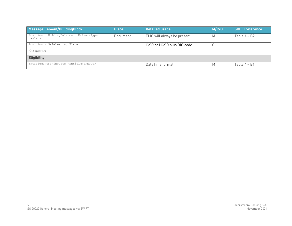| MessageElement/BuildingBlock                            | <b>Place</b> | Detailed usage               | M/C/O | <b>SRD II reference</b> |  |  |
|---------------------------------------------------------|--------------|------------------------------|-------|-------------------------|--|--|
| Position - HoldingBalance - BalanceType<br>$BalTp>$     | Document     | ELIG will always be present. | M     | Table $4 - B2$          |  |  |
| Position - Safekeeping Place                            |              | ICSD or NCSD plus BIC code   |       |                         |  |  |
| $<$ SfkpqPlc $>$                                        |              |                              |       |                         |  |  |
| <b>Eligibility</b>                                      |              |                              |       |                         |  |  |
| EntitlementFixingDate <entitlmntfxqdt></entitlmntfxqdt> |              | DateTime format              | M     | Table $4 - B1$          |  |  |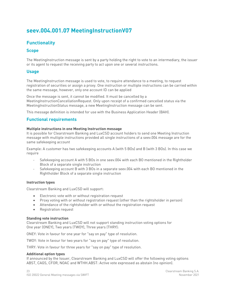# <span id="page-28-0"></span>**seev.004.001.07 MeetingInstructionV07**

# <span id="page-28-1"></span>**Functionality**

## <span id="page-28-2"></span>**Scope**

The MeetingInstruction message is sent by a party holding the right to vote to an intermediary, the issuer or its agent to request the receiving party to act upon one or several instructions.

# <span id="page-28-3"></span>**Usage**

The MeetingInstruction message is used to vote, to require attendance to a meeting, to request registration of securities or assign a proxy. One instruction or multiple instructions can be carried within the same message, however, only one account ID can be applied

Once the message is sent, it cannot be modified. It must be cancelled by a MeetingInstructionCancellationRequest. Only upon receipt of a confirmed cancelled status via the MeetingInstructionStatus message, a new MeetingInstruction message can be sent.

This message definition is intended for use with the Business Application Header (BAH).

## <span id="page-28-4"></span>**Functional requirements**

#### **Multiple instructions in one Meeting Instruction message**

It is possible for Clearstream Banking and LuxCSD account holders to send one Meeting Instruction message with multiple instructions provided all single instructions of a seev.004 message are for the same safekeeping account

Example: A customer has two safekeeping accounts A (with 5 BOs) and B (with 3 BOs). In this case we require

- Safekeeping account A with 5 BOs in one seev.004 with each BO mentioned in the Rightholder Block of a separate single instruction
- Safekeeping account B with 3 BOs in a separate seev.004 with each BO mentioned in the Rightholder Block of a separate single instruction

#### **Instruction types**

Clearstream Banking and LuxCSD will support:

- Electronic vote with or without registration request
- Proxy voting with or without registration request (other than the rightsholder in person)
- Attendance of the rightsholder with or without the registration request
- Registration request

#### **Standing vote instruction**

Clearstream Banking and LuxCSD will not support standing instruction voting options for One year (ONEY), Two years (TWOY), Three years (THRY):

ONEY: Vote in favour for one year for "say on pay" type of resolution.

TWOY: Vote in favour for two years for "say on pay" type of resolution.

THRY: Vote in favour for three years for "say on pay" type of resolution.

#### **Additional option types**

If announced by the Issuer, Clearstream Banking and LuxCSD will offer the following voting options ABST, CAGS, CFOR, NOAC and WTHH.ABST: Active vote expressed as abstain (no opinion).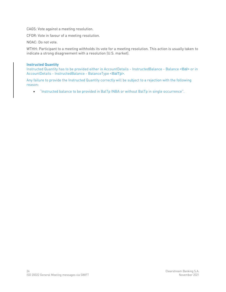CAGS: Vote against a meeting resolution.

CFOR: Vote in favour of a meeting resolution.

NOAC: Do not vote.

WTHH: Participant to a meeting withholds its vote for a meeting resolution. This action is usually taken to indicate a strong disagreement with a resolution (U.S. market).

#### **Instructed Quantity**

Instructed Quantity has to be provided either in AccountDetails - InstructedBalance - Balance <Bal> or in AccountDetails - InstructedBalance - BalanceType <BalTp>.

Any failure to provide the Instructed Quantity correctly will be subject to a rejection with the following reason:

• "Instructed balance to be provided in BalTp INBA or without BalTp in single occurrence".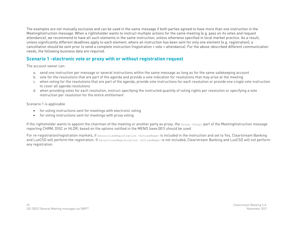The examples are not mutually exclusive and can be used in the same message if both parties agreed to have more than one instruction in the MeetingInstruction message. When a rightsholder wants to instruct multiple actions for the same meeting (e.g. pass on its votes and request attendance), we recommend to have all such elements in the same instruction, unless otherwise specified in local market practice. As a result, unless significantly different deadlines apply to each element, where an instruction has been sent for only one element (e.g. registration), a cancellation should be sent prior to send a complete instruction (registration + vote + attendance). For the above-described different communication needs, the following business data are required.

# **Scenario 1 -electronic vote or proxy with or without registration request**

The account owner can:

- a. send one instruction per message or several instructions within the same message as long as for the same safekeeping account
- b. vote for the resolutions that are part of the agenda and provide a vote indication for resolutions that may arise at the meeting
- c. when voting for the resolutions that are part of the agenda, provide vote instructions for each resolution or provide one single vote instruction to cover all agenda resolutions
- d. when providing votes for each resolution, instruct specifying the instructed quantity of voting rights per resolution or specifying a vote instruction per resolution for the entire entitlement

Scenario 1 is applicable

- for voting instructions sent for meetings with electronic voting
- for voting instructions sent for meetings with proxy voting

<span id="page-30-0"></span>If the rightsholder wants to appoint the chairman of the meeting or another party as proxy, the  $P_{T(X,Y)}$  part of the MeetingInstruction message reporting CHRM, DISC or HLDR, based on the options notified in the MENO (seev.001) should be used

For re-registration/registration markets, if securitiesRegistration <sctiesRegn> is included in the instruction and set to Yes, Clearstream Banking and LuxCSD will perform the registration. If securitiesRegistration <sctiesRegn> is not included, Clearstream Banking and LuxCSD will not perform any registration.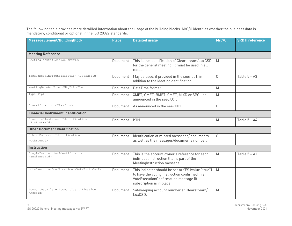The following table provides more detailled information about the usage of the building blocks. M/C/O identifies whether the business data is mandatory, conditional or optional in the ISO 20022 standards.

| MessageElement/BuildingBlock                                     | <b>Place</b> | <b>Detailed usage</b>                                                                                                                                                      | M/C/O       | <b>SRD II reference</b> |
|------------------------------------------------------------------|--------------|----------------------------------------------------------------------------------------------------------------------------------------------------------------------------|-------------|-------------------------|
|                                                                  |              |                                                                                                                                                                            |             |                         |
| <b>Meeting Reference</b>                                         |              |                                                                                                                                                                            |             |                         |
| MeetingIdentification <mtgid></mtgid>                            | Document     | This is the identification of Clearstream/LuxCSD<br>for the general meeting. It must be used in all<br>cases.                                                              | M           |                         |
| IssuerMeetingIdentification <issrmtqid></issrmtqid>              | Document     | May be used, if provided in the seev.001, in<br>addition to the MeetingIdentification.                                                                                     | $\Omega$    | Table $5 - A3$          |
| MeetingDateAndTime <mtgdtandtm></mtgdtandtm>                     | Document     | DateTime format                                                                                                                                                            | M           |                         |
| Type <tp></tp>                                                   | Document     | XMET, GMET, BMET, CMET, MIXD or SPCL as<br>announced in the seev.001.                                                                                                      | M           |                         |
| Classification <clssfctn></clssfctn>                             | Document     | As announced in the seev.001.                                                                                                                                              | $\mathbf 0$ |                         |
| <b>Financial Instrument Identification</b>                       |              |                                                                                                                                                                            |             |                         |
| FinancialInstrumentIdentification<br><fininstrmid></fininstrmid> | Document     | <b>ISIN</b>                                                                                                                                                                | M           | Table $5 - A4$          |
| <b>Other Document Identification</b>                             |              |                                                                                                                                                                            |             |                         |
| Other Document Identification<br><othrdocid></othrdocid>         | Document     | Identification of related messages/ documents<br>as well as the messages/documents number.                                                                                 | $\Omega$    |                         |
| <b>Instruction</b>                                               |              |                                                                                                                                                                            |             |                         |
| SingleInstructionIdentification<br><snqlinstrid></snqlinstrid>   | Document     | This is the account owner's reference for each<br>individual instruction that is part of the<br>MeetingInstruction message.                                                | M           | Table $5 - A1$          |
| VoteExecutionConfirmation <voteexctnconf></voteexctnconf>        | Document     | This indicator should be set to YES (value "true")<br>to have the voting instruction confirmed in a<br>VoteExecutionConfirmation message (if<br>subscription is in place). | M           |                         |
| AccountDetails - AccountIdentification<br>$<$ AcctTd>            | Document     | Safekeeping account number at Clearstream/<br>LuxCSD.                                                                                                                      | M           |                         |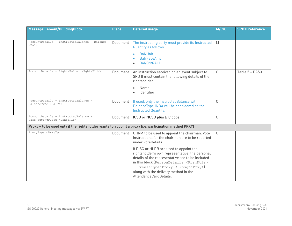| MessageElement/BuildingBlock                                                                          | <b>Place</b> | <b>Detailed usage</b>                                                                                                                                                                                                                                                                                                         |                | <b>SRD II reference</b> |
|-------------------------------------------------------------------------------------------------------|--------------|-------------------------------------------------------------------------------------------------------------------------------------------------------------------------------------------------------------------------------------------------------------------------------------------------------------------------------|----------------|-------------------------|
|                                                                                                       |              |                                                                                                                                                                                                                                                                                                                               |                |                         |
| AccountDetails - InstructedBalance - Balance<br>$<$ Bal>                                              | Document     | The instructing party must provide its Instructed<br><b>Quantity as follows:</b>                                                                                                                                                                                                                                              | M              |                         |
|                                                                                                       |              | Bal/Unit<br><b>Bal/FaceAmt</b><br>$\bullet$<br>Bal/Cd/QALL                                                                                                                                                                                                                                                                    |                |                         |
| AccountDetails - RightsHolder <rghtshldr></rghtshldr>                                                 | Document     | An instruction received on an event subject to<br>SRD II must contain the following details of the<br>rightsholder:                                                                                                                                                                                                           | 0              | Table 5 - B2&3          |
|                                                                                                       |              | Name<br>Identifier                                                                                                                                                                                                                                                                                                            |                |                         |
| AccountDetails - InstructedBalance -<br>BalanceType <baltp></baltp>                                   | Document     | If used, only the InstructedBalance with<br>BalanceType INBA will be considered as the<br>Instructed Quantity.                                                                                                                                                                                                                | 0              |                         |
| AccountDetails - InstructedBalance -<br>SafekeepingPlace <sfkpgplc></sfkpgplc>                        | Document     | ICSD or NCSD plus BIC code                                                                                                                                                                                                                                                                                                    | $\overline{0}$ |                         |
| Proxy - to be used only if the rightsholder wants to appoint a proxy (i.e. participation method PRXY) |              |                                                                                                                                                                                                                                                                                                                               |                |                         |
| ProxyType <prxytp></prxytp>                                                                           | Document     | CHRM to be used to appoint the chairman. Vote<br>instructions for the chairman are to be reported<br>under VoteDetails.                                                                                                                                                                                                       | C              |                         |
|                                                                                                       |              | If DISC or HLDR are used to appoint the<br>rightsholder's own representative, the personal<br>details of the representative are to be included<br>in this block (PersonDetails <prsndtls><br/>- PreassignedProxy <prssgndprxy>)<br/>along with the delivery method in the<br/>AttendanceCardDetails.</prssgndprxy></prsndtls> |                |                         |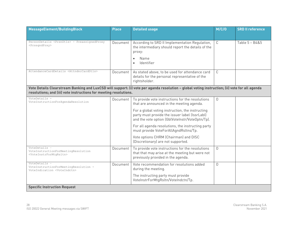| MessageElement/BuildingBlock                                                                          | <b>Place</b> | <b>Detailed usage</b>                                                                                                                                 | M/C/O | <b>SRD II reference</b> |
|-------------------------------------------------------------------------------------------------------|--------------|-------------------------------------------------------------------------------------------------------------------------------------------------------|-------|-------------------------|
|                                                                                                       |              |                                                                                                                                                       |       |                         |
| PersonDetails <prsndtls> - PreassignedProxy<br/><prssqndprxy></prssqndprxy></prsndtls>                | Document     | According to SRD II Implementation Regulation,<br>the intermediary should report the details of the<br>proxy:<br>Name<br>Identifier                   | C     | Table 5 - B4&5          |
| AttendanceCardDetails <attndnccarddtls></attndnccarddtls>                                             | Document     | As stated above, to be used for attendance card<br>details for the personal representative of the<br>rightsholder.                                    | C     |                         |
| resolutions; and (iii) vote instructions for meeting resolutions.                                     |              | Vote Details Clearstream Banking and LuxCSD will support: (i) vote per aganda resolution - global voting instruction; (ii) vote for all agenda        |       |                         |
| VoteDetails -<br>VoteInstructionForAgendaResolution                                                   | Document     | To provide vote instructions for the resolutions<br>that are announced in the meeting agenda.                                                         | 0     |                         |
|                                                                                                       |              | For a global voting instruction, the instructing<br>party must provide the issuer label (IssrLabl)<br>and the vote option (GblVoteInstr/VoteOptn/Tp). |       |                         |
|                                                                                                       |              | For all agenda resolutions, the instructing party<br>must provide VoteForAllAgndRsltns/Tp.                                                            |       |                         |
|                                                                                                       |              | Vote options CHRM (Chairman) and DISC<br>(Discretionary) are not supported.                                                                           |       |                         |
| VoteDetails -<br>VoteInstructionForMeetingResolution<br><voteinstrformtqrsltn></voteinstrformtqrsltn> | Document     | To provide vote instructions for the resolutions<br>that that may arise at the meeting but were not<br>previously provided in the agenda.             | 0     |                         |
| VoteDetails -<br>VoteInstructionForMeetingResolution -<br>VoteIndication <voteindctn></voteindctn>    | Document     | Vote recommendation for resolutions added<br>during the meeting.                                                                                      | 0     |                         |
|                                                                                                       |              | The instructing party must provide<br>VoteInstrForMtgRsltn/VoteIndctn/Tp.                                                                             |       |                         |
| <b>Specific Instruction Request</b>                                                                   |              |                                                                                                                                                       |       |                         |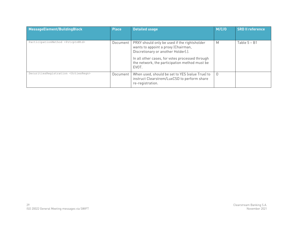| MessageElement/BuildingBlock                     | <b>Place</b> | <b>Detailed usage</b>                                                                                                                                                                                                                   | M/C/O    | <b>SRD II reference</b> |
|--------------------------------------------------|--------------|-----------------------------------------------------------------------------------------------------------------------------------------------------------------------------------------------------------------------------------------|----------|-------------------------|
| ParticipationMethod <prtcptnmtd></prtcptnmtd>    | Document     | PRXY should only be used if the rightsholder<br>wants to appoint a proxy (Chairman,<br>Discretionary or another Holder).).<br>In all other cases, for votes processed through<br>the network, the participation method must be<br>EVOT. | M        | Table $5 - B1$          |
| SecuritiesRegistration <sctiesregn></sctiesregn> | Document     | When used, should be set to YES (value True) to<br>instruct Clearstrem/LuxCSD to perform share<br>re-registration.                                                                                                                      | $\Omega$ |                         |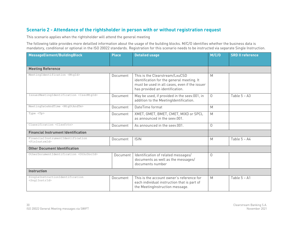# **Scenario 2 - Attendance of the rightsholder in person with or without registration request**

This scenario applies when the rightsholder will attend the general meeting

The following table provides more detailled information about the usage of the building blocks. M/C/O identifies whether the business data is mandatory, conditional or optional in the ISO 20022 standards. Registration for this scenario needs to be instructed via separate Single Instruction.

<span id="page-35-0"></span>

| MessageElement/BuildingBlock                                     | <b>Place</b> | <b>Detailed usage</b>                                                                                                                                            | M/C/O    | <b>SRD II reference</b> |
|------------------------------------------------------------------|--------------|------------------------------------------------------------------------------------------------------------------------------------------------------------------|----------|-------------------------|
|                                                                  |              |                                                                                                                                                                  |          |                         |
| <b>Meeting Reference</b>                                         |              |                                                                                                                                                                  |          |                         |
| MeetingIdentification <mtgid></mtgid>                            | Document     | This is the Clearstream/LxuCSD<br>identification for the general meeting. It<br>must be used in all cases, even if the issuer<br>has provided an identification. | M        |                         |
| IssuerMeetingIdentification <issrmtgid></issrmtgid>              | Document     | May be used, if provided in the seev.001, in<br>addition to the MeetingIdentification.                                                                           | $\Omega$ | Table $5 - A3$          |
| MeetingDateAndTime <mtgdtandtm></mtgdtandtm>                     | Document     | DateTime format                                                                                                                                                  | M        |                         |
| Type <tp></tp>                                                   | Document     | XMET, GMET, BMET, CMET, MIXD or SPCL<br>as announced in the seev.001.                                                                                            | M        |                         |
| Classification <clssfctn></clssfctn>                             | Document     | As announced in the seev.001.                                                                                                                                    | $\Omega$ |                         |
| <b>Financial Instrument Identification</b>                       |              |                                                                                                                                                                  |          |                         |
| FinancialInstrumentIdentification<br><fininstrmid></fininstrmid> | Document     | <b>ISIN</b>                                                                                                                                                      | M        | Table 5 - A4            |
| <b>Other Document Identification</b>                             |              |                                                                                                                                                                  |          |                         |
| OtherDocumentIdentification <othrdocid></othrdocid>              | Document     | Identification of related messages/<br>documents as well as the messages/<br>documents number                                                                    | $\Omega$ |                         |
| <b>Instruction</b>                                               |              |                                                                                                                                                                  |          |                         |
| SingleInstructionIdentification<br><snqlinstrid></snqlinstrid>   | Document     | This is the account owner's reference for<br>each individual instruction that is part of<br>the MeetingInstruction message.                                      | M        | Table $5 - A1$          |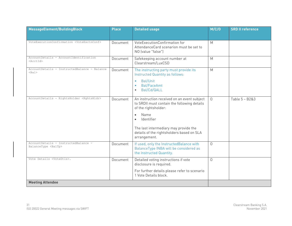| MessageElement/BuildingBlock                                        | <b>Place</b> | <b>Detailed usage</b>                                                                                                                                                                                                                                                    | M/C/O    | <b>SRD II reference</b> |
|---------------------------------------------------------------------|--------------|--------------------------------------------------------------------------------------------------------------------------------------------------------------------------------------------------------------------------------------------------------------------------|----------|-------------------------|
|                                                                     |              |                                                                                                                                                                                                                                                                          |          |                         |
| VoteExecutionConfirmation <voteexctnconf></voteexctnconf>           | Document     | VoteExecutionConfirmation for<br>AttendanceCard scenarion must be set to<br>NO (value "false")                                                                                                                                                                           | M        |                         |
| AccountDetails - AccountIdentification<br><acctid></acctid>         | Document     | Safekeeping account number at<br>Clearstream/LuxCSD                                                                                                                                                                                                                      | M        |                         |
| AccountDetails - InstructedBalance - Balance<br>$<$ Bal>            | Document     | The instructing party must provide its<br>Instructed Quantity as follows:<br>Bal/Unit<br>$\bullet$<br><b>Bal/FaceAmt</b><br>$\bullet$<br>Bal/Cd/QALL<br>$\bullet$                                                                                                        | M        |                         |
| AccountDetails - RightsHolder <rghtshldr></rghtshldr>               | Document     | An instruction received on an event subject<br>to SRDII must contain the following details<br>of the rightsholder:<br>Name<br>$\bullet$<br>Identifier<br>$\bullet$<br>The last intermediary may provide the<br>details of the rightsholders based on SLA<br>arrangement. | $\Omega$ | Table 5 - B2&3          |
| AccountDetails - InstructedBalance -<br>BalanceType <baltp></baltp> | Document     | If used, only the InstructedBalance with<br>BalanceType INBA will be considered as<br>the Instructed Quantity.                                                                                                                                                           | $\Omega$ |                         |
| Vote Details <votedtls>.</votedtls>                                 | Document     | Detailed voting instructions if vote<br>disclosure is required.<br>For further details please refer to scenario<br>1 Vote Details block.                                                                                                                                 | $\Omega$ |                         |
| <b>Meeting Attendee</b>                                             |              |                                                                                                                                                                                                                                                                          |          |                         |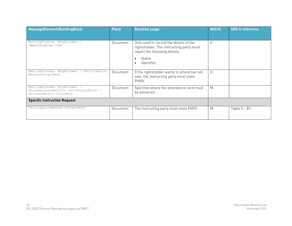| MessageElement/BuildingBlock                                                                                                                         | <b>Place</b> | <b>Detailed usage</b>                                                                                                                                                      | M/C/O    | <b>SRD II reference</b> |
|------------------------------------------------------------------------------------------------------------------------------------------------------|--------------|----------------------------------------------------------------------------------------------------------------------------------------------------------------------------|----------|-------------------------|
| MeetingAttendee <mtgattndee> -<br/>Identification <id></id></mtgattndee>                                                                             | Document     | Only used to record the details of the<br>rightsholder. The instructing party must<br>report the following details:<br>Name<br>$\bullet$<br><b>Identifier</b><br>$\bullet$ | $\Omega$ |                         |
| MeetingAttendee <mtgattndee> - Participation<br/>Method<prtcptnmtd></prtcptnmtd></mtgattndee>                                                        | Document     | If the rightsholder wants to attend but not<br>vote, the instructing party must state<br>PHNV.                                                                             | $\Omega$ |                         |
| MeetingAttendee <mtgattndee> -<br/>AttendanceCardDetails <attndnccarddtls> -<br/>DeliveryMethod <dlvrymtd></dlvrymtd></attndnccarddtls></mtgattndee> | Document     | Specifies where the attendance card must<br>be delivered                                                                                                                   | M        |                         |
| <b>Specific Instruction Request</b>                                                                                                                  |              |                                                                                                                                                                            |          |                         |
| ParticipationMethod <prtcptnmtd></prtcptnmtd>                                                                                                        | Document     | The instructing party must state PHYS.                                                                                                                                     | M        | Table $5 - B1$          |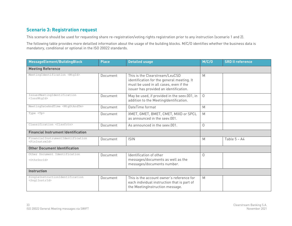# **Scenario 3: Registration request**

This scenario should be used for requesting share re-registration/voting rights registration prior to any instruction (scenario 1 and 2).

| MessageElement/BuildingBlock                                     | <b>Place</b> | <b>Detailed usage</b>                                                                                                                                            | M/C/O          | <b>SRD II reference</b> |
|------------------------------------------------------------------|--------------|------------------------------------------------------------------------------------------------------------------------------------------------------------------|----------------|-------------------------|
| <b>Meeting Reference</b>                                         |              |                                                                                                                                                                  |                |                         |
| MeetingIdentification <mtgid></mtgid>                            | Document     | This is the Clearstream/LxuCSD<br>identification for the general meeting. It<br>must be used in all cases, even if the<br>issuer has provided an identification. | M              |                         |
| IssuerMeetingIdentification<br><issrmtqid></issrmtqid>           | Document     | May be used, if provided in the seev.001, in<br>addition to the MeetingIdentification.                                                                           | $\overline{O}$ |                         |
| MeetingDateAndTime <mtgdtandtm></mtgdtandtm>                     | Document     | DateTime format                                                                                                                                                  | M              |                         |
| Type <tp></tp>                                                   | Document     | XMET, GMET, BMET, CMET, MIXD or SPCL<br>as announced in the seev.001.                                                                                            | M              |                         |
| Classification <clssfctn></clssfctn>                             | Document     | As announced in the seev.001.                                                                                                                                    | 0              |                         |
| <b>Financial Instrument Identification</b>                       |              |                                                                                                                                                                  |                |                         |
| FinancialInstrumentIdentification<br><fininstrmid></fininstrmid> | Document     | <b>ISIN</b>                                                                                                                                                      | M              | Table $5 - A4$          |
| <b>Other Document Identification</b>                             |              |                                                                                                                                                                  |                |                         |
| Other Document Identification<br><0thrDocId>                     | Document     | Identification of other<br>messages/documents as well as the<br>messages/documents number.                                                                       | 0              |                         |
| Instruction                                                      |              |                                                                                                                                                                  |                |                         |
| SingleInstructionIdentification<br><snglinstrid></snglinstrid>   | Document     | This is the account owner's reference for<br>each individual instruction that is part of<br>the MeetingInstruction message.                                      | M              |                         |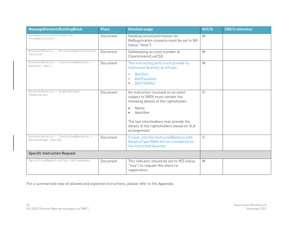| MessageElement/BuildingBlock                                        | <b>Place</b> | <b>Detailed usage</b>                                                                                                                                                                                                                                                    | M/C/O    | <b>SRD II reference</b> |
|---------------------------------------------------------------------|--------------|--------------------------------------------------------------------------------------------------------------------------------------------------------------------------------------------------------------------------------------------------------------------------|----------|-------------------------|
| VoteExecutionConfirmation<br><voteexctnconf></voteexctnconf>        | Document     | VoteExecutionConfirmation for<br>ReRegistration scenario must be set to NO<br>(value "false").                                                                                                                                                                           | M        |                         |
| AccountDetails - AccountIdentification<br><acctid></acctid>         | Document     | Safekeeping account number at<br>Clearstream/LuxCSD                                                                                                                                                                                                                      | M        |                         |
| AccountDetails - InstructedBalance -<br>Balance <bal></bal>         | Document     | The instructing party must provide its<br>Instructed Quantity as follows:<br>Bal/Unit<br>$\bullet$<br><b>Bal/FaceAmt</b><br>$\bullet$<br>Bal/Cd/QALL<br>$\bullet$                                                                                                        | M        |                         |
| AccountDetails - RightsHolder<br><rghtshldr></rghtshldr>            | Document     | An instruction received on an event<br>subject to SRDII must contain the<br>following details of the rightsholder:<br>Name<br>$\bullet$<br>Identifier<br>$\bullet$<br>The last intermediary may provide the<br>details of the rightsholders based on SLA<br>arrangement. | $\Omega$ |                         |
| AccountDetails - InstructedBalance -<br>BalanceType <baltp></baltp> | Document     | If used, only the InstructedBalance with<br>BalanceType INBA will be considered as<br>the Instructed Quantity                                                                                                                                                            | $\circ$  |                         |
| <b>Specific Instruction Request</b>                                 |              |                                                                                                                                                                                                                                                                          |          |                         |
| SecuritiesRegistration <sctiesregn></sctiesregn>                    | Document     | This indicator should be set to YES (value<br>"true") to request the share re-<br>registration.                                                                                                                                                                          | M        |                         |

For a summarised view of allowed and expected instructions, please refer to the Appendix.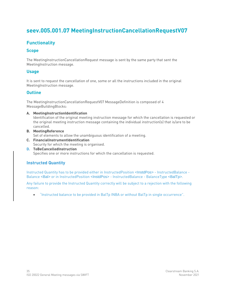# **seev.005.001.07 MeetingInstructionCancellationRequestV07**

# **Functionality**

### **Scope**

The MeetingInstructionCancellationRequest message is sent by the same party that sent the MeetingInstruction message.

### **Usage**

It is sent to request the cancellation of one, some or all the instructions included in the original MeetingInstruction message.

### **Outline**

The MeetingInstructionCancellationRequestV07 MessageDefinition is composed of 4 MessageBuildingBlocks:

#### **A. MeetingInstructionIdentification**

Identification of the original meeting instruction message for which the cancellation is requested or the original meeting instruction message containing the individual instruction(s) that is/are to be cancelled.

**B. MeetingReference**

Set of elements to allow the unambiguous identification of a meeting.

- **C. FinancialInstrumentIdentification** Security for which the meeting is organised.
- **D. ToBeCancelledInstruction** Specifies one or more instructions for which the cancellation is requested.

### **Instructed Quantity**

Instructed Quantity has to be provided either in InstructedPosition <InstdPos> - InstructedBalance - Balance <Bal> or in InstructedPosition <InstdPos> - InstructedBalance - BalanceType <BalTp>.

Any failure to provide the Instructed Quantity correctly will be subject to a rejection with the following reason:

• "Instructed balance to be provided in BalTp INBA or without BalTp in single occurrence".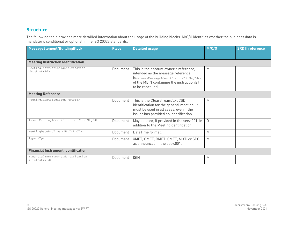# **Structure**

| MessageElement/BuildingBlock                                     | <b>Place</b> | <b>Detailed usage</b>                                                                                                                                                                                  | M/C/O    | <b>SRD II reference</b> |  |  |  |
|------------------------------------------------------------------|--------------|--------------------------------------------------------------------------------------------------------------------------------------------------------------------------------------------------------|----------|-------------------------|--|--|--|
|                                                                  |              |                                                                                                                                                                                                        |          |                         |  |  |  |
| <b>Meeting Instruction Identification</b>                        |              |                                                                                                                                                                                                        |          |                         |  |  |  |
| MeetingInstructionIdentification<br><mtqinstrid></mtqinstrid>    | Document     | This is the account owner's reference,<br>intended as the message reference<br>[BusinessMessageIdentifier, <bizmsgidr>]<br/>of the MEIN containing the instruction(s)<br/>to be cancelled.</bizmsgidr> | M        |                         |  |  |  |
| <b>Meeting Reference</b>                                         |              |                                                                                                                                                                                                        |          |                         |  |  |  |
| MeetingIdentification <mtgid></mtgid>                            | Document     | This is the Clearstream/LxuCSD<br>identification for the general meeting. It<br>must be used in all cases, even if the<br>issuer has provided an identification.                                       | M        |                         |  |  |  |
| IssuerMeetingIdentification <issrmtgid></issrmtgid>              | Document     | May be used, if provided in the seev.001, in<br>addition to the MeetingIdentification.                                                                                                                 | $\Omega$ |                         |  |  |  |
| MeetingDateAndTime <mtgdtandtm></mtgdtandtm>                     | Document     | DateTime format.                                                                                                                                                                                       | M        |                         |  |  |  |
| Type <tp></tp>                                                   | Document     | XMET, GMET, BMET, CMET, MIXD or SPCL<br>as announced in the seev.001.                                                                                                                                  | M        |                         |  |  |  |
| <b>Financial Instrument Identification</b>                       |              |                                                                                                                                                                                                        |          |                         |  |  |  |
| FinancialInstrumentIdentification<br><fininstrmid></fininstrmid> | Document     | <b>ISIN</b>                                                                                                                                                                                            | M        |                         |  |  |  |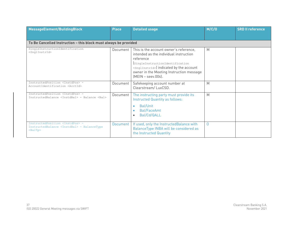| MessageElement/BuildingBlock                                                                                                                     | <b>Place</b> | <b>Detailed usage</b>                                                                                                                                                                                                                                                       | M/C/O    | <b>SRD II reference</b> |
|--------------------------------------------------------------------------------------------------------------------------------------------------|--------------|-----------------------------------------------------------------------------------------------------------------------------------------------------------------------------------------------------------------------------------------------------------------------------|----------|-------------------------|
| To Be Cancelled Instruction - this block must always be provided                                                                                 |              |                                                                                                                                                                                                                                                                             |          |                         |
| SingleInstructionIdentification<br><snqlinstrid></snqlinstrid>                                                                                   | Document     | This is the account owner's reference,<br>intended as the individual instruction<br>reference<br>[SingleInstructionIdentification<br><snglinstrid>) indicated by the account<br/>owner in the Meeting Instruction message<br/><math>[MEIN - seev.004]</math>.</snglinstrid> | M        |                         |
| InstructedPosition <instdpos> -<br/>AccountIdentification <acctid></acctid></instdpos>                                                           | Document     | Safekeeping account number at<br>Clearstream/LuxCSD.                                                                                                                                                                                                                        | M        |                         |
| InstructedPosition <tnstdpos> -<br/>InstructedBalance <instdbal> - Balance <bal></bal></instdbal></tnstdpos>                                     | Document     | The instructing party must provide its<br><b>Instructed Quantity as follows:</b><br>Bal/Unit<br><b>Bal/FaceAmt</b><br>Bal/Cd/QALL                                                                                                                                           | M        |                         |
| InstructedPosition <instdpos> -<br/>InstructedBalance <instdbal> - BalanceType<br/><math>&lt;</math>BalTp<math>&gt;</math></instdbal></instdpos> | Document     | If used, only the InstructedBalance with<br>BalanceType INBA will be considered as<br>the Instructed Quantity                                                                                                                                                               | $\Omega$ |                         |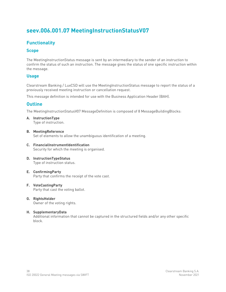# **seev.006.001.07 MeetingInstructionStatusV07**

# **Functionality**

### **Scope**

The MeetingInstructionStatus message is sent by an intermediary to the sender of an instruction to confirm the status of such an instruction. The message gives the status of one specific instruction within the message.

### **Usage**

Clearstream Banking / LuxCSD will use the MeetingInstructionStatus message to report the status of a previously received meeting instruction or cancellation request.

This message definition is intended for use with the Business Application Header (BAH).

### **Outline**

The MeetingInstructionStatusV07 MessageDefinition is composed of 8 MessageBuildingBlocks:

**A. InstructionType**

Type of instruction.

#### **B. MeetingReference**

Set of elements to allow the unambiguous identification of a meeting.

- **C. FinancialInstrumentIdentification** Security for which the meeting is organised.
- **D. InstructionTypeStatus** Type of instruction status.
- **E. ConfirmingParty** Party that confirms the receipt of the vote cast.
- **F. VoteCastingParty** Party that cast the voting ballot.
- **G. RightsHolder** Owner of the voting rights.

#### **H. SupplementaryData**

Additional information that cannot be captured in the structured fields and/or any other specific block.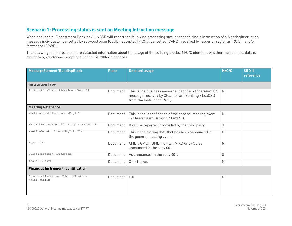# **Scenario 1: Processing status is sent on Meeting Intruction message**

When applicable, Clearstream Banking / LuxCSD will report the following processing status for each single instruction of a MeetingInstruction message individually: cancelled by sub-custodian (CSUB), accepted (PACK), cancelled (CAND), received by issuer or registrar (RCIS), and/or forwarded (FRWD).

| MessageElement/BuildingBlock                                     | <b>Place</b> | <b>Detailed usage</b>                                                                                                                      | M/C/O       | <b>SRD II</b><br>reference |
|------------------------------------------------------------------|--------------|--------------------------------------------------------------------------------------------------------------------------------------------|-------------|----------------------------|
| <b>Instruction Type</b>                                          |              |                                                                                                                                            |             |                            |
| InstructionIdentification <instrid></instrid>                    | Document     | This is the business message identifier of the seev.004<br>message received by Clearstream Banking / LuxCSD<br>from the Instruction Party. | M           |                            |
| <b>Meeting Reference</b>                                         |              |                                                                                                                                            |             |                            |
| MeetingIdentification <mtgid></mtgid>                            | Document     | This is the identification of the general meeting event<br>in Clearstream Banking / LuxCSD.                                                | M           |                            |
| IssuerMeetingIdentification <issrmtgid></issrmtgid>              | Document     | It will be reported if provided by the third party.                                                                                        | $\mathbf 0$ |                            |
| MeetingDateAndTime <mtgdtandtm></mtgdtandtm>                     | Document     | This is the meting date that has been announced in<br>the general meeting event.                                                           | M           |                            |
| Type <tp></tp>                                                   | Document     | XMET, GMET, BMET, CMET, MIXD or SPCL as<br>announced in the seev.001.                                                                      | M           |                            |
| Classification <clssfctn></clssfctn>                             | Document     | As announced in the seev.001.                                                                                                              | $\Omega$    |                            |
| Issuer <issr></issr>                                             | Document     | Only Name.                                                                                                                                 | M           |                            |
| <b>Financial Instrument Identification</b>                       |              |                                                                                                                                            |             |                            |
| FinancialInstrumentIdentification<br><fininstrmid></fininstrmid> | Document     | <b>ISIN</b>                                                                                                                                | M           |                            |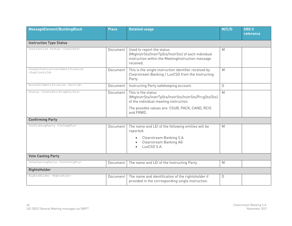| MessageElement/BuildingBlock                                   | <b>Place</b> | <b>Detailed usage</b>                                                                                                                                          | M/C/O    | <b>SRD II</b><br>reference |
|----------------------------------------------------------------|--------------|----------------------------------------------------------------------------------------------------------------------------------------------------------------|----------|----------------------------|
|                                                                |              |                                                                                                                                                                |          |                            |
| <b>Instruction Type Status</b>                                 |              |                                                                                                                                                                |          |                            |
| Instruction Status <instrsts></instrsts>                       | Document     | Used to report the status<br>(MtgInstrSts/InstrTpSts/InstrSts) of each individual<br>instruction within the MeetingInstruction message<br>received.            | M        |                            |
| SingleInstructionIdentification<br><snqlinstrid></snqlinstrid> | Document     | This is the single instruction identifier received by<br>Clearstream Banking / LuxCSD from the Instructing<br>Party.                                           | M        |                            |
| AccountIdentification <acctid></acctid>                        | Document     | Instructing Party safekeeping account.                                                                                                                         | $\Omega$ |                            |
| Status <instrsts prcgsts="" sts=""></instrsts>                 | Document     | This is the status<br>(MtgInstrSts/InstrTpSts/InstrSts/InstrSts/PrcgSts/Sts)<br>of the individual meeting instruction.                                         | M        |                            |
|                                                                |              | The possible values are: CSUB, PACK, CAND, RCIS<br>and FRWD.                                                                                                   |          |                            |
| <b>Confirming Party</b>                                        |              |                                                                                                                                                                |          |                            |
| ConfirmingParty <cnfrmqpty></cnfrmqpty>                        | Document     | The name and LEI of the following entities will be<br>reported:<br>Clearstream Banking S.A.<br>$\bullet$<br>Clearstream Banking AG<br>$\bullet$<br>LuxCSD S.A. | M        |                            |
| <b>Vote Casting Party</b>                                      |              |                                                                                                                                                                |          |                            |
| VoteCastingParty <votecstgpty></votecstgpty>                   | Document     | The name and LEI of the Instructing Party.                                                                                                                     | M        |                            |
| <b>RightsHolder</b>                                            |              |                                                                                                                                                                |          |                            |
| RightsHolder <rghtshldr></rghtshldr>                           | Document     | The name and identification of the rightsholder if<br>provided in the corresponding single instruction.                                                        | 0        |                            |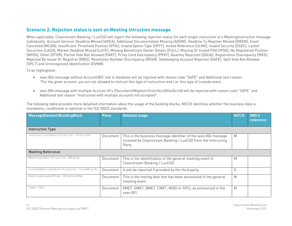# **Scenario 2: Rejection status is sent on Meeting Intruction message**

When applicable, Clearstream Banking / LuxCSD will report the following rejection status for each single instruction of a MeetingInstruction message individually: Account Servicer Deadline Missed [ADEA], Additional Documentation Missing [ADDM], Deadline To Register Missed [DREM], Event Cancelled [MCAN], Insufficient Threshold Position [IPOS], Invalid Option Type [OPTY], Invalid Reference [ULNK], Invalid Security [DSEC], Lackof Securities [LACK], Market Deadline Missed [LATE], Missing Beneficiary Owner Details [FULL], Missing Or Invalid POA [IPOA], No Registered Position [NPOS], Other [OTHR], Partial Vote Not Allowed [PART], Proxy Card Discrepancy [PRXY], Quantity Rejection [DQUA], Registration Discrepancy [IREG], Rejected By Issuer Or Registrar [RBIS], Resolution Number Discrepancy [RESN], Safekeeping Account Rejection [SAFE], Split Vote Not Allowed [SPLT] and Unrecognised Identification [EVNM].

To be highlighted:

- seev.004 message without Account/BIC link in database will be rejected with reason code "SAFE" and Additional text reason: "For the given account, you are not allowed to instruct this type of instruction and / or this type of custody event.
- seev.004 message with multiple Account ID's /Document/MtgInstr/Instr/AcctDtls/AcctId will be rejected with reason code "SAFE" and Additional text reason "Instruction with multiple accounts not accepted".

| MessageElement/BuildingBlock                        | <b>Place</b> | <b>Detailed usage</b>                                                                                                                      | M/C/O | <b>SRD II</b><br>reference |  |  |
|-----------------------------------------------------|--------------|--------------------------------------------------------------------------------------------------------------------------------------------|-------|----------------------------|--|--|
| <b>Instruction Type</b>                             |              |                                                                                                                                            |       |                            |  |  |
| InstructionIdentification <instrid></instrid>       | Document     | This is the business message identifier of the seev.004 message<br>received by Clearstream Banking / LuxCSD from the Instructing<br>Party. | M     |                            |  |  |
| <b>Meeting Reference</b>                            |              |                                                                                                                                            |       |                            |  |  |
| MeetingIdentification <mtgid></mtgid>               | Document     | This is the identification of the general meeting event in<br>Clearstream Banking / LuxCSD.                                                | M     |                            |  |  |
| IssuerMeetingIdentification <issrmtgid></issrmtgid> | Document     | It will be reported if provided by the third party.                                                                                        | O     |                            |  |  |
| MeetingDateAndTime <mtgdtandtm></mtgdtandtm>        | Document     | This is the meting date that has been announced in the general<br>meeting event.                                                           | M     |                            |  |  |
| Type <tp></tp>                                      | Document     | XMET, GMET, BMET, CMET, MIXD or SPCL as announced in the<br>seev.001.                                                                      | M     |                            |  |  |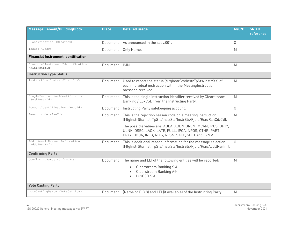| MessageElement/BuildingBlock                                     | <b>Place</b> | <b>Detailed usage</b>                                                                                                                                                      | M/C/O    | <b>SRD II</b><br>reference |
|------------------------------------------------------------------|--------------|----------------------------------------------------------------------------------------------------------------------------------------------------------------------------|----------|----------------------------|
| Classification <clssfctn></clssfctn>                             | Document     | As announced in the seev.001.                                                                                                                                              | $\Omega$ |                            |
| Issuer <issr></issr>                                             | Document     | Only Name.                                                                                                                                                                 | M        |                            |
| <b>Financial Instrument Identification</b>                       |              |                                                                                                                                                                            |          |                            |
| FinancialInstrumentIdentification<br><fininstrmid></fininstrmid> | Document     | <b>ISIN</b>                                                                                                                                                                | M        |                            |
| <b>Instruction Type Status</b>                                   |              |                                                                                                                                                                            |          |                            |
| Instruction Status <instrsts></instrsts>                         | Document     | Used to report the status (MtgInstrSts/InstrTpSts/InstrSts) of<br>each individual instruction within the MeetingInstruction<br>message received.                           | M        |                            |
| SingleInstructionIdentification<br><snqlinstrid></snqlinstrid>   | Document     | This is the single instruction identifier received by Clearstream<br>Banking / LuxCSD from the Instructing Party.                                                          | M        |                            |
| AccountIdentification <acctid></acctid>                          | Document     | Instructing Party safekeeping account.                                                                                                                                     | $\Omega$ |                            |
| Reason code <rsncd></rsncd>                                      | Document     | This is the rejection reason code on a meeting instruction<br>(MtgInstrSts/InstrTpSts/InstrSts/InstrSts/Rjctd/Rsn/RsnCd/Cd).                                               | M        |                            |
|                                                                  |              | The possible values are: ADEA, ADDM DREM, MCAN, IPOS, OPTY,<br>ULNK, DSEC, LACK, LATE, FULL, IPOA, NPOS, OTHR, PART,<br>PRXY, DQUA, IREG, RBIS, RESN, SAFE, SPLT and EVNM. |          |                            |
| Additional Reason Information<br><addtlrsninf></addtlrsninf>     | Document     | This is additional reason information for the message rejection<br>(MtgInstrSts/InstrTpSts/InstrSts/InstrSts/Rjctd/Rsn/AddtlRsnInf).                                       | $\Omega$ |                            |
| <b>Confirming Party</b>                                          |              |                                                                                                                                                                            |          |                            |
| ConfirmingParty <cnfrmgpty></cnfrmgpty>                          | Document     | The name and LEI of the following entities will be reported:                                                                                                               | M        |                            |
|                                                                  |              | Clearstream Banking S.A.<br>$\bullet$<br>Clearstream Banking AG<br>LuxCSD S.A.                                                                                             |          |                            |
| <b>Vote Casting Party</b>                                        |              |                                                                                                                                                                            |          |                            |
| VoteCastingParty <votecstgpty></votecstgpty>                     | Document     | (Name or BIC 8) and LEI (if available) of the Instructing Party.                                                                                                           | M        |                            |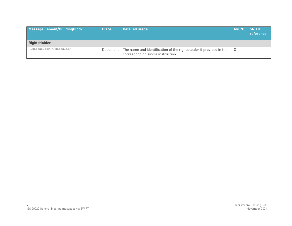| MessageElement/BuildingBlock         | <b>Place</b> | <b>Detailed usage</b>                                                                                              | M/C/O | <b>SRDII</b><br>reference |
|--------------------------------------|--------------|--------------------------------------------------------------------------------------------------------------------|-------|---------------------------|
| <b>RightsHolder</b>                  |              |                                                                                                                    |       |                           |
| RightsHolder <rghtshldr></rghtshldr> |              | Document   The name and identification of the rightsholder if provided in the<br>corresponding single instruction. | 0     |                           |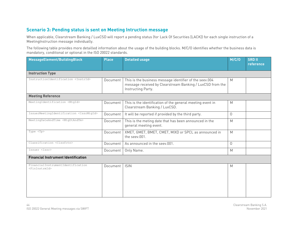# **Scenario 3: Pending status is sent on Meeting Intruction message**

When applicable, Clearstream Banking / LuxCSD will report a pending status (for Lack Of Securities [LACK]) for each single instruction of a MeetingInstruction message individually.

| MessageElement/BuildingBlock                                     | <b>Place</b> | <b>Detailed usage</b>                                                                                                                      | M/C/O    | <b>SRD II</b><br>reference |  |
|------------------------------------------------------------------|--------------|--------------------------------------------------------------------------------------------------------------------------------------------|----------|----------------------------|--|
| <b>Instruction Type</b>                                          |              |                                                                                                                                            |          |                            |  |
| InstructionIdentification <instrid></instrid>                    | Document     | This is the business message identifier of the seev.004<br>message received by Clearstream Banking / LuxCSD from the<br>Instructing Party. | M        |                            |  |
| <b>Meeting Reference</b>                                         |              |                                                                                                                                            |          |                            |  |
| MeetingIdentification <mtgid></mtgid>                            | Document     | This is the identification of the general meeting event in<br>Clearstream Banking / LuxCSD.                                                | M        |                            |  |
| IssuerMeetingIdentification <issrmtgid></issrmtgid>              | Document     | It will be reported if provided by the third party.                                                                                        | $\Omega$ |                            |  |
| MeetingDateAndTime <mtgdtandtm></mtgdtandtm>                     | Document     | This is the meting date that has been announced in the<br>general meeting event.                                                           | M        |                            |  |
| Type <tp></tp>                                                   | Document     | XMET, GMET, BMET, CMET, MIXD or SPCL as announced in<br>the seev.001.                                                                      | M        |                            |  |
| Classification <clssfctn></clssfctn>                             | Document     | As announced in the seev.001.                                                                                                              | $\Omega$ |                            |  |
| Issuer <issr></issr>                                             | Document     | Only Name.                                                                                                                                 | M        |                            |  |
| <b>Financial Instrument Identification</b>                       |              |                                                                                                                                            |          |                            |  |
| FinancialInstrumentIdentification<br><fininstrmid></fininstrmid> | Document     | <b>ISIN</b>                                                                                                                                | M        |                            |  |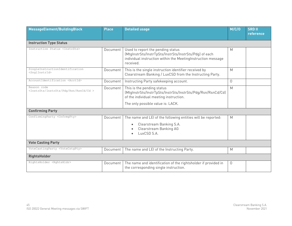| MessageElement/BuildingBlock                                                  | <b>Place</b> | <b>Detailed usage</b>                                                                                                                                                    | M/C/O    | <b>SRD II</b><br>reference |
|-------------------------------------------------------------------------------|--------------|--------------------------------------------------------------------------------------------------------------------------------------------------------------------------|----------|----------------------------|
| <b>Instruction Type Status</b>                                                |              |                                                                                                                                                                          |          |                            |
| Instruction Status <instrsts></instrsts>                                      | Document     | Used to report the pending status<br>(MtgInstrSts/InstrTpSts/InstrSts/InstrSts/Pdg) of each<br>individual instruction within the MeetingInstruction message<br>received. | M        |                            |
| SingleInstructionIdentification<br><snglinstrid></snglinstrid>                | Document     | This is the single instruction identifier received by<br>Clearstream Banking / LuxCSD from the Instructing Party.                                                        | M        |                            |
| AccountIdentification <acctid></acctid>                                       | Document     | Instructing Party safekeeping account.                                                                                                                                   | $\Omega$ |                            |
| Reason code<br><instrsts cd="" instrsts="" pdg="" rsn="" rsncd=""></instrsts> | Document     | This is the pending status<br>(MtgInstrSts/InstrTpSts/InstrSts/InstrSts/Pdg/Rsn/RsnCd/Cd)<br>of the individual meeting instruction.<br>The only possible value is: LACK. | M        |                            |
| <b>Confirming Party</b>                                                       |              |                                                                                                                                                                          |          |                            |
| ConfirmingParty <cnfrmgpty></cnfrmgpty>                                       | Document     | The name and LEI of the following entities will be reported:<br>Clearstream Banking S.A.<br>Clearstream Banking AG<br>LuxCSD S.A.                                        | M        |                            |
| <b>Vote Casting Party</b>                                                     |              |                                                                                                                                                                          |          |                            |
| VoteCastingParty <votecstgpty></votecstgpty>                                  | Document     | The name and LEI of the Instructing Party.                                                                                                                               | M        |                            |
| <b>RightsHolder</b>                                                           |              |                                                                                                                                                                          |          |                            |
| RightsHolder <rghtshldr></rghtshldr>                                          | Document     | The name and identification of the rightsholder if provided in<br>the corresponding single instruction.                                                                  | $\Omega$ |                            |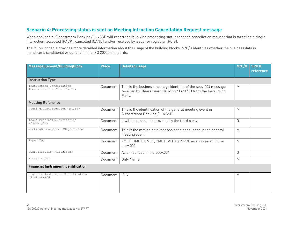# **Scenario 4: Processing status is sent on Meeting Intruction Cancellation Request message**

When applicable, Clearstream Banking / LuxCSD will report the following processing status for each cancellation request that is targeting a single intsruction: accepted (PACK), cancelled (CAND) and/or received by issuer or registrar (RCIS).

| MessageElement/BuildingBlock                                         | <b>Place</b> | <b>Detailed usage</b>                                                                                                                      | M/C/O          | <b>SRD II</b><br>reference |
|----------------------------------------------------------------------|--------------|--------------------------------------------------------------------------------------------------------------------------------------------|----------------|----------------------------|
| <b>Instruction Type</b>                                              |              |                                                                                                                                            |                |                            |
| Instruction Cancellation<br>Identification <instrcxlid></instrcxlid> | Document     | This is the business message identifier of the seev.004 message<br>received by Clearstream Banking / LuxCSD from the Instructing<br>Party. | M              |                            |
| <b>Meeting Reference</b>                                             |              |                                                                                                                                            |                |                            |
| MeetingIdentification <mtgid></mtgid>                                | Document     | This is the identification of the general meeting event in<br>Clearstream Banking / LuxCSD.                                                | M              |                            |
| IssuerMeetingIdentification<br>$<$ IssrMtqId>                        | Document     | It will be reported if provided by the third party.                                                                                        | $\overline{0}$ |                            |
| MeetingDateAndTime <mtgdtandtm></mtgdtandtm>                         | Document     | This is the meting date that has been announced in the general<br>meeting event.                                                           | M              |                            |
| Type <tp></tp>                                                       | Document     | XMET, GMET, BMET, CMET, MIXD or SPCL as announced in the<br>seev.001.                                                                      | M              |                            |
| Classification <clssfctn></clssfctn>                                 | Document     | As announced in the seev.001.                                                                                                              | 0              |                            |
| Issuer <issr></issr>                                                 | Document     | Only Name.                                                                                                                                 | M              |                            |
| <b>Financial Instrument Identification</b>                           |              |                                                                                                                                            |                |                            |
| FinancialInstrumentIdentification<br><fininstrmid></fininstrmid>     | Document     | <b>ISIN</b>                                                                                                                                | M              |                            |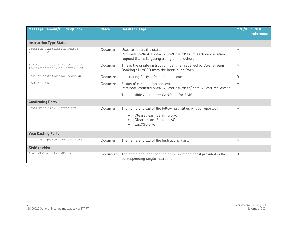| MessageElement/BuildingBlock                                                        | <b>Place</b> | <b>Detailed usage</b>                                                                                                                               | M/C/O    | <b>SRD II</b><br>reference |
|-------------------------------------------------------------------------------------|--------------|-----------------------------------------------------------------------------------------------------------------------------------------------------|----------|----------------------------|
| <b>Instruction Type Status</b>                                                      |              |                                                                                                                                                     |          |                            |
| Detailed Cancellation Status<br><dtldcxlsts></dtldcxlsts>                           | Document     | Used to report the status<br>(MtgInstrSts/InstrTpSts/CxlSts/DtldCxlSts) of each cancellation<br>request that is targeting a single intsruction.     | M        |                            |
| Single Instruction Cancellation<br>Identification <snglinstrcxlid></snglinstrcxlid> | Document     | This is the single instruction identifier received by Clearstream<br>Banking / LuxCSD from the Instructing Party.                                   | M        |                            |
| AccountIdentification <acctid></acctid>                                             | Document     | Instructing Party safekeeping account.                                                                                                              | $\Omega$ |                            |
| Status <sts></sts>                                                                  | Document     | Status of cancellation request<br>(MtgInstrSts/InstrTpSts/CxlSts/DtldCxlSts/InstrCxlSts/PrcgSts/Sts).<br>The possible values are: CAND and/or RCIS. | M        |                            |
| <b>Confirming Party</b>                                                             |              |                                                                                                                                                     |          |                            |
| ConfirmingParty <cnfrmqpty></cnfrmqpty>                                             | Document     | The name and LEI of the following entities will be reported:<br>Clearstream Banking S.A.<br>$\bullet$<br>Clearstream Banking AG<br>LuxCSD S.A.      | M        |                            |
| <b>Vote Casting Party</b>                                                           |              |                                                                                                                                                     |          |                            |
| VoteCastingParty <votecstgpty></votecstgpty>                                        | Document     | The name and LEI of the Instructing Party.                                                                                                          | M        |                            |
| <b>RightsHolder</b>                                                                 |              |                                                                                                                                                     |          |                            |
| RightsHolder <rghtshldr></rghtshldr>                                                | Document     | The name and identification of the rightsholder if provided in the<br>corresponding single instruction.                                             | $\Omega$ |                            |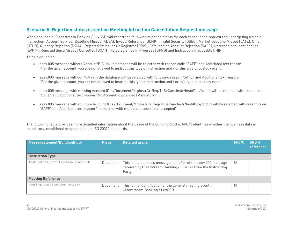# **Scenario 5: Rejection status is sent on Meeting Intruction Cancellation Request message**

When applicable, Clearstream Banking / LuxCSD will report the following rejection status for each cancellation request that is targeting a single instruction: Account Servicer Deadline Missed [ADEA], Invalid Reference [ULNK], Invalid Security [DSEC], Market Deadline Missed [LATE], Other [OTHR], Quantity Rejection [DQUA], Rejected By Issuer Or Registrar [RBIS], Safekeeping Account Rejection [SAFE], Unrecognised Identification [EVNM], Rejected Since Already Cancelled [DCAN], Rejected Since In Progress [DPRG] and Instruction Irrevocable [INIR].

To be highlighted:

- seev.005 message without Account/BIC link in database will be rejected with reason code "SAFE" and Additional text reason: "For the given account, you are not allowed to instruct this type of instruction and / or this type of custody event.
- seev.005 message without PoA in in the database will be rejected with following reason "SAFE" and Additional text reason: "For the given account, you are not allowed to instruct this type of instruction and / or this type of custody event".
- seev.005 message with missing Account ID's /Document/MtgInstrCxlReg/ToBeCancInstr/InstdPos/AcctId will be rejected with reason code "SAFE" and Additional text reason "No Account Id provided (Mandatory).".
- seev.005 message with multiple Account ID's /Document/MtgInstrCxlReq/ToBeCancInstr/InstdPos/AcctId will be rejected with reason code "SAFE" and Additional text reason "Instruction with multiple accounts not accepted".

| MessageElement/BuildingBlock                  | <b>Place</b> | <b>Detailed usage</b>                                                                                                                      | M/C/O | <b>SRDII</b><br>reference |
|-----------------------------------------------|--------------|--------------------------------------------------------------------------------------------------------------------------------------------|-------|---------------------------|
| <b>Instruction Type</b>                       |              |                                                                                                                                            |       |                           |
| InstructionIdentification <instrid></instrid> | Document     | This is the business message identifier of the seev.004 message<br>received by Clearstream Banking / LuxCSD from the Instructing<br>Party. | M     |                           |
| <b>Meeting Reference</b>                      |              |                                                                                                                                            |       |                           |
| MeetingIdentification <mtgid></mtgid>         | Document     | This is the identification of the general meeting event in<br>Clearstream Banking / LuxCSD.                                                | M     |                           |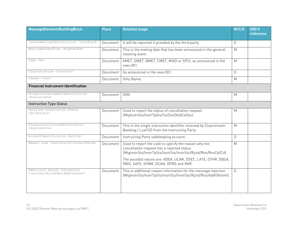| MessageElement/BuildingBlock                                                          | <b>Place</b> | M/C/O<br><b>Detailed usage</b>                                                                                                                                                                                                        |          | <b>SRD II</b><br>reference |
|---------------------------------------------------------------------------------------|--------------|---------------------------------------------------------------------------------------------------------------------------------------------------------------------------------------------------------------------------------------|----------|----------------------------|
| IssuerMeetingIdentification <issrmtgid></issrmtgid>                                   | Document     | It will be reported if provided by the third party.                                                                                                                                                                                   | $\Omega$ |                            |
| MeetingDateAndTime <mtgdtandtm></mtgdtandtm>                                          | Document     | This is the meting date that has been announced in the general<br>meeting event.                                                                                                                                                      | M        |                            |
| Type <tp></tp>                                                                        | Document     | XMET, GMET, BMET, CMET, MIXD or SPCL as announced in the<br>M<br>seev.001.                                                                                                                                                            |          |                            |
| Classification <clssfctn></clssfctn>                                                  | Document     | As announced in the seev.001.                                                                                                                                                                                                         | $\Omega$ |                            |
| Issuer <issr></issr>                                                                  | Document     | Only Name.                                                                                                                                                                                                                            | M        |                            |
| <b>Financial Instrument Identification</b>                                            |              |                                                                                                                                                                                                                                       |          |                            |
| FinancialInstrumentIdentification<br><fininstrmid></fininstrmid>                      | Document     | <b>ISIN</b>                                                                                                                                                                                                                           | M        |                            |
| <b>Instruction Type Status</b>                                                        |              |                                                                                                                                                                                                                                       |          |                            |
| Detailed Cancellation Status<br><dtldcxlsts></dtldcxlsts>                             | Document     | Used to report the status of cancellation request<br>(MtgInstrSts/InstrTpSts/CxlSts/DtldCxlSts).                                                                                                                                      | M        |                            |
| SingleInstructionIdentification<br><snqlinstrid></snqlinstrid>                        | Document     | This is the single instruction identifier received by Clearstream<br>Banking / LuxCSD from the Instructing Party.                                                                                                                     | M        |                            |
| AccountIdentification <acctid></acctid>                                               | Document     | Instructing Party safekeeping account.                                                                                                                                                                                                | $\Omega$ |                            |
| Reason code <instrsts rjctd="" rsn="" rsncd=""></instrsts>                            | Document     | Used to report the code to specify the reason why the<br>cancellation request has a rejected status<br>(MtgInstrSts/InstrTpSts/InstrSts/InstrSts/Rjctd/Rsn/RsnCd/Cd).<br>The possible values are: ADEA, ULNK, DSEC, LATE, OTHR, DQUA, | M        |                            |
|                                                                                       |              | RBIS, SAFE, EVNM, DCAN, DPRG and INIR.                                                                                                                                                                                                |          |                            |
| Additional Reason Information<br><instrsts addtlrsninf="" rjctd="" rsn=""></instrsts> | Document     | This is additional reason information for the message rejection<br>(MtgInstrSts/InstrTpSts/InstrSts/InstrSts/Rjctd/Rsn/AddtlRsnInf).                                                                                                  | $\Omega$ |                            |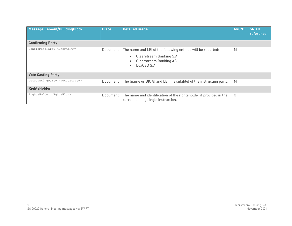| MessageElement/BuildingBlock                 | <b>Place</b> | <b>Detailed usage</b>                                                                                                             | M/C/O    | <b>SRD II</b><br>reference |
|----------------------------------------------|--------------|-----------------------------------------------------------------------------------------------------------------------------------|----------|----------------------------|
| <b>Confirming Party</b>                      |              |                                                                                                                                   |          |                            |
| ConfirmingParty <cnfrmgpty></cnfrmgpty>      | Document     | The name and LEI of the following entities will be reported:<br>Clearstream Banking S.A.<br>Clearstream Banking AG<br>LuxCSD S.A. | M        |                            |
| <b>Vote Casting Party</b>                    |              |                                                                                                                                   |          |                            |
| VoteCastingParty <votecstgpty></votecstgpty> | Document     | The (name or BIC 8) and LEI (if available) of the instructing party.                                                              | M        |                            |
| <b>RightsHolder</b>                          |              |                                                                                                                                   |          |                            |
| RightsHolder <rghtshldr></rghtshldr>         | Document     | The name and identification of the rightsholder if provided in the<br>corresponding single instruction.                           | $\Omega$ |                            |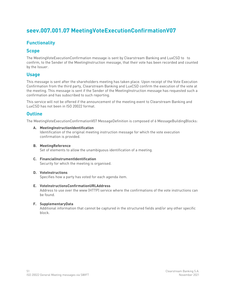# **seev.007.001.07 MeetingVoteExecutionConfirmationV07**

# **Functionality**

### **Scope**

The MeetingVoteExecutionConfirmation message is sent by Clearstream Banking and LuxCSD to to confirm, to the Sender of the MeetingInstruction message, that their vote has been recorded and counted by the Issuer.

# **Usage**

This message is sent after the shareholders meeting has taken place. Upon receipt of the Vote Execution Confirmation from the third party, Clearstream Banking and LuxCSD confirm the execution of the vote at the meeting. This message is sent if the Sender of the MeetingInstruction message has requested such a confirmation and has subscribed to such reporting.

This service will not be offered if the announcement of the meeting event to Clearstream Banking and LuxCSD has not been in ISO 20022 format.

### **Outline**

The MeetingVoteExecutionConfirmationV07 MessageDefinition is composed of 6 MessageBuildingBlocks:

#### **A. MeetingInstructionIdentification**

Identification of the original meeting instruction message for which the vote execution confirmation is provided.

- **B. MeetingReference** Set of elements to allow the unambiguous identification of a meeting.
- **C. FinancialInstrumentIdentification** Security for which the meeting is organised.

#### **D. VoteInstructions**

Specifies how a party has voted for each agenda item.

#### **E. VoteInstructionsConfirmationURLAddress**

Address to use over the www (HTTP) service where the confirmations of the vote instructions can be found.

#### **F. SupplementaryData**

Additional information that cannot be captured in the structured fields and/or any other specific block.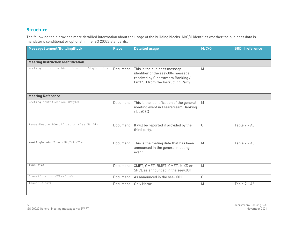# **Structure**

| MessageElement/BuildingBlock                               | <b>Place</b> | <b>Detailed usage</b>                                                                                                                         | M/C/O       | <b>SRD II reference</b> |  |  |  |
|------------------------------------------------------------|--------------|-----------------------------------------------------------------------------------------------------------------------------------------------|-------------|-------------------------|--|--|--|
| <b>Meeting Instruction Identification</b>                  |              |                                                                                                                                               |             |                         |  |  |  |
| MeetingInstructionIdentification <mtginstrid></mtginstrid> | Document     | This is the business message<br>identifier of the seev.004 message<br>received by Clearstream Banking /<br>LuxCSD from the Instructing Party. | M           |                         |  |  |  |
| <b>Meeting Reference</b>                                   |              |                                                                                                                                               |             |                         |  |  |  |
| MeetingIdentification <mtgid></mtgid>                      | Document     | This is the identification of the general<br>meeting event in Clearstream Banking<br>/LuxCSD                                                  | M           |                         |  |  |  |
| IssuerMeetingIdentification <issrmtqid></issrmtqid>        | Document     | It will be reported if provided by the<br>third party.                                                                                        | $\Omega$    | Table $7 - A3$          |  |  |  |
| MeetingDateAndTime <mtgdtandtm></mtgdtandtm>               | Document     | This is the meting date that has been<br>announced in the general meeting<br>event.                                                           | M           | Table $7 - A5$          |  |  |  |
| Type $\langle Tp \rangle$                                  | Document     | XMET, GMET, BMET, CMET, MIXD or<br>SPCL as announced in the seev.001                                                                          | M           |                         |  |  |  |
| Classification <clssfctn></clssfctn>                       | Document     | As announced in the seev.001.                                                                                                                 | $\mathbf 0$ |                         |  |  |  |
| Issuer <issr></issr>                                       | Document     | Only Name.                                                                                                                                    | M           | Table $7 - A6$          |  |  |  |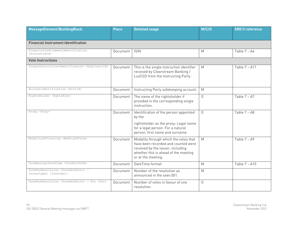| MessageElement/BuildingBlock                                                            | <b>Place</b> | <b>Detailed usage</b>                                                                                                                                                           | M/C/O          | <b>SRD II reference</b> |  |  |  |  |
|-----------------------------------------------------------------------------------------|--------------|---------------------------------------------------------------------------------------------------------------------------------------------------------------------------------|----------------|-------------------------|--|--|--|--|
|                                                                                         |              |                                                                                                                                                                                 |                |                         |  |  |  |  |
| <b>Financial Instrument Identification</b>                                              |              |                                                                                                                                                                                 |                |                         |  |  |  |  |
| FinancialInstrumentIdentification<br><fininstrmid></fininstrmid>                        | Document     | <b>ISIN</b>                                                                                                                                                                     | M              | Table $7 - A4$          |  |  |  |  |
| <b>Vote Instructions</b>                                                                |              |                                                                                                                                                                                 |                |                         |  |  |  |  |
| SingleInstructionIdentification <snglinstrid></snglinstrid>                             | Document     | This is the single instruction identifier<br>received by Clearstream Banking /<br>LuxCSD from the Instructing Party.                                                            | M              | Table 7 - A11           |  |  |  |  |
| AccountIdentification <acctid></acctid>                                                 | Document     | Instructing Party safekeeping account.                                                                                                                                          | M              |                         |  |  |  |  |
| RightsHolder <rghtshldr></rghtshldr>                                                    | Document     | The name of the rightsholder if<br>provided in the corresponding single<br>instruction.                                                                                         | $\mathbf 0$    | Table $7 - A7$          |  |  |  |  |
| Proxy <prxy></prxy>                                                                     | Document     | Identification of the person appointed<br>by the<br>rightsholder as the proxy: Legal name<br>for a legal person. For a natural<br>person, first name and surname.               | 0              | Table 7 - A8            |  |  |  |  |
| ModalityOfCounting <modltyofcntg></modltyofcntg>                                        | Document     | Modality through which the votes that<br>have been recorded and counted were<br>received by the issuer, including<br>whether this is ahead of the meeting<br>or at the meeting. | M              | Table $7 - A9$          |  |  |  |  |
| VoteReceiptDateTime <voterctdttm></voterctdttm>                                         | Document     | DateTime format                                                                                                                                                                 | M              | Table 7 - A10           |  |  |  |  |
| VotePerResolution <voteperrsltn> -<br/>IssuerLabel <issrlabl></issrlabl></voteperrsltn> | Document     | Number of the resolution as<br>announced in the seev.001.                                                                                                                       | M              |                         |  |  |  |  |
| VotePerResolution <voteperrsltn> - For <for></for></voteperrsltn>                       | Document     | Number of votes in favour of one<br>resolution.                                                                                                                                 | $\overline{0}$ |                         |  |  |  |  |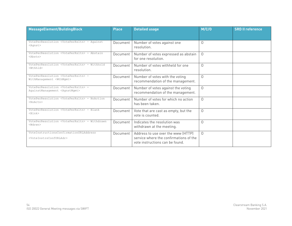| MessageElement/BuildingBlock                                                                       | <b>Place</b> | <b>Detailed usage</b>                                                                                           | M/C/O     | <b>SRD II reference</b> |
|----------------------------------------------------------------------------------------------------|--------------|-----------------------------------------------------------------------------------------------------------------|-----------|-------------------------|
|                                                                                                    |              |                                                                                                                 |           |                         |
| VotePerResolution <voteperrsltn> - Against<br/><aqnst></aqnst></voteperrsltn>                      | Document     | Number of votes against one<br>resolution.                                                                      | $\Omega$  |                         |
| VotePerResolution <voteperrsltn> - Abstain<br/><math>&lt;</math>Abstn&gt;</voteperrsltn>           | Document     | Number of votes expressed as abstain<br>for one resolution.                                                     | $\Omega$  |                         |
| VotePerResolution <voteperrsltn> - Withhold<br/><wthhld></wthhld></voteperrsltn>                   | Document     | Number of votes withheld for one<br>resolution.                                                                 | $\bigcap$ |                         |
| VotePerResolution <voteperrsltn> -<br/>WithManagement <wthmqmt></wthmqmt></voteperrsltn>           | Document     | Number of votes with the voting<br>recommendation of the management.                                            | $\bigcap$ |                         |
| VotePerResolution <voteperrsltn> -<br/>AgainstManagement <agnstmgmt></agnstmgmt></voteperrsltn>    | Document     | Number of votes against the voting<br>recommendation of the management.                                         | $\bigcap$ |                         |
| VotePerResolution <voteperrsltn> - NoAction<br/><noactn></noactn></voteperrsltn>                   | Document     | Number of votes for which no action<br>has been taken.                                                          | $\Omega$  |                         |
| VotePerResolution <voteperrsltn> - Blank<br/><math>&lt;</math>Blnk<math>&gt;</math></voteperrsltn> | Document     | Vote that are cast as empty, but the<br>vote is counted.                                                        | $\Omega$  |                         |
| VotePerResolution <voteperrsltn> - Withdrawn<br/><wdrwn></wdrwn></voteperrsltn>                    | Document     | Indicates the resolution was<br>withdrawn at the meeting.                                                       | $\Omega$  |                         |
| VoteInstructionsConfirmationURLAddress<br><voteinstrsconfurladr></voteinstrsconfurladr>            | Document     | Address to use over the www (HTTP)<br>service where the confirmations of the<br>vote instructions can be found. | $\Omega$  |                         |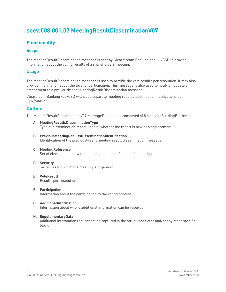# **seev.008.001.07 MeetingResultDisseminationV07**

# **Functionality**

### **Scope**

The MeetingResultDissemination message is sent by Clearstream Banking and LuxCSD to provide information about the voting results of a shareholders meeting.

### **Usage**

The MeetingResultDissemination message is used to provide the vote results per resolution. It may also provide information about the level of participation. This message is also used to notify an update or amendment to a previously sent MeetingResultDissemination message.

Clearsteam Banking /LuxCSD will issue separate meeting result dissemination notifications per ISIN/market.

### **Outline**

The MeetingResultDisseminationV07 MessageDefinition is composed of 8 MessageBuildingBlocks:

- **A. MeetingResultsDisseminationType** Type of dissemination report, that is, whether the report is new or a replacement.
- **B. PreviousMeetingResultsDisseminationIdentification** Identification of the previously sent meeting result dissemination message.
- **C. MeetingReference**

Set of elements to allow the unambiguous identification of a meeting.

- **D. Security** Securities for which the meeting is organised.
- **E. VoteResult** Results per resolution.
- **F. Participation**

Information about the participation to the voting process.

#### **G. AdditionalInformation**

Information about where additional information can be received.

#### **H. SupplementaryData**

Additional information that cannot be captured in the structured fields and/or any other specific block.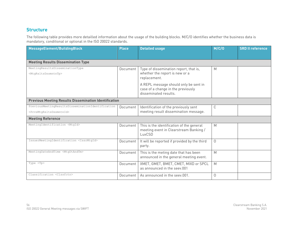# **Structure**

| MessageElement/BuildingBlock                                                                         | <b>Place</b> | <b>Detailed usage</b>                                                                                | M/C/O    | <b>SRD II reference</b> |  |  |  |  |  |
|------------------------------------------------------------------------------------------------------|--------------|------------------------------------------------------------------------------------------------------|----------|-------------------------|--|--|--|--|--|
| <b>Meeting Results Dissemination Type</b>                                                            |              |                                                                                                      |          |                         |  |  |  |  |  |
| MeetingResultsDisseminationType<br><mtgrsltsdssmntntp></mtgrsltsdssmntntp>                           | Document     | Type of dissemination report, that is,<br>whether the report is new or a<br>replacement.             | M        |                         |  |  |  |  |  |
|                                                                                                      |              | A REPL message should only be sent in<br>case of a change in the previously<br>disseminated results. |          |                         |  |  |  |  |  |
| <b>Previous Meeting Results Dissemination Identification</b>                                         |              |                                                                                                      |          |                         |  |  |  |  |  |
| PreviousMeetingResultsDisseminationIdentification<br><prvsmtqrsltsdssmntnid></prvsmtqrsltsdssmntnid> | Document     | Identification of the previously sent<br>meeting result dissemination message.                       | C        |                         |  |  |  |  |  |
| <b>Meeting Reference</b>                                                                             |              |                                                                                                      |          |                         |  |  |  |  |  |
| MeetingIdentification <mtgid></mtgid>                                                                | Document     | This is the identification of the general<br>meeting event in Clearstream Banking /<br>LuxCSD        | M        |                         |  |  |  |  |  |
| IssuerMeetingIdentification <issrmtgid></issrmtgid>                                                  | Document     | It will be reported if provided by the third<br>party.                                               | $\Omega$ |                         |  |  |  |  |  |
| MeetingDateAndTime <mtgdtandtm></mtgdtandtm>                                                         | Document     | This is the meting date that has been<br>announced in the general meeting event.                     | M        |                         |  |  |  |  |  |
| Type <tp></tp>                                                                                       | Document     | XMET, GMET, BMET, CMET, MIXD or SPCL<br>as announced in the seev.001                                 | M        |                         |  |  |  |  |  |
| Classification <clssfctn></clssfctn>                                                                 | Document     | As announced in the seev.001.                                                                        | $\cap$   |                         |  |  |  |  |  |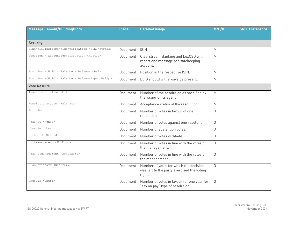| MessageElement/BuildingBlock                                  | <b>Place</b> | <b>Detailed usage</b>                                                                          | M/C/O    | <b>SRD II reference</b> |
|---------------------------------------------------------------|--------------|------------------------------------------------------------------------------------------------|----------|-------------------------|
|                                                               |              |                                                                                                |          |                         |
| <b>Security</b>                                               |              |                                                                                                |          |                         |
| FinancialInstrumentIdentification <fininstrmid></fininstrmid> | Document     | <b>ISIN</b>                                                                                    | M        |                         |
| Position - AccountIdentification <acctid></acctid>            | Document     | Clearstream Banking and LuxCSD will<br>report one message per safekeeping<br>account.          | M        |                         |
| Position - HoldingBalance - Balance <bal></bal>               | Document     | Position in the respective ISIN.                                                               | M        |                         |
| Position - HoldingBalance - BalanceType <baltp></baltp>       | Document     | ELIG should will always be present.                                                            | M        |                         |
| <b>Vote Results</b>                                           |              |                                                                                                |          |                         |
| IssuerLabel <issrlabl></issrlabl>                             | Document     | Number of the resolution as specified by<br>the issuer or its agent                            | M        |                         |
| ResolutionStatus <rsltnsts></rsltnsts>                        | Document     | Acceptance status of the resolution.                                                           | M        |                         |
| For <for></for>                                               | Document     | Number of votes in favour of one<br>resolution                                                 | $\Omega$ |                         |
| Against <agnst></agnst>                                       | Document     | Number of votes against one resolution.                                                        | $\Omega$ |                         |
| Abstain <abstn></abstn>                                       | Document     | Number of abstention votes.                                                                    | $\cap$   |                         |
| Withhold <wthhld></wthhld>                                    | Document     | Number of votes withheld.                                                                      | $\Omega$ |                         |
| WithManagement <wthmgmt></wthmgmt>                            | Document     | Number of votes in line with the votes of<br>the management.                                   | $\Omega$ |                         |
| AgainstManagement <agnstmgmt></agnstmgmt>                     | Document     | Number of votes in line with the votes of<br>the management.                                   | $\Omega$ |                         |
| Discretionary <dscrtnry></dscrtnry>                           | Document     | Number of votes for which the decision<br>was left to the party exercised the voting<br>right. | $\Omega$ |                         |
| OneYear <oneyr></oneyr>                                       | Document     | Number of votes in favour for one year for<br>"say on pay" type of resolution.                 | $\Omega$ |                         |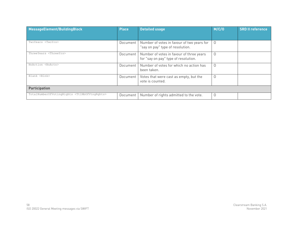| MessageElement/BuildingBlock                                    | <b>Place</b> | <b>Detailed usage</b>                                                            | M/C/O    | <b>SRD II reference</b> |
|-----------------------------------------------------------------|--------------|----------------------------------------------------------------------------------|----------|-------------------------|
| TwoYears <twoyrs></twoyrs>                                      | Document     | Number of votes in favour of two years for<br>"say on pay" type of resolution.   | $\Omega$ |                         |
| ThreeYears <threeyrs></threeyrs>                                | Document     | Number of votes in favour of three years<br>for "say on pay" type of resolution. | $\Omega$ |                         |
| NoAction <noactn></noactn>                                      | Document     | Number of votes for which no action has<br>been taken.                           | $\Omega$ |                         |
| Blank <blnk></blnk>                                             | Document     | Votes that were cast as empty, but the<br>vote is counted.                       | $\Omega$ |                         |
| <b>Participation</b>                                            |              |                                                                                  |          |                         |
| TotalNumberOfVotingRights <ttlnbofvtngrghts></ttlnbofvtngrghts> | Document     | Number of rights admitted to the vote.                                           | $\Omega$ |                         |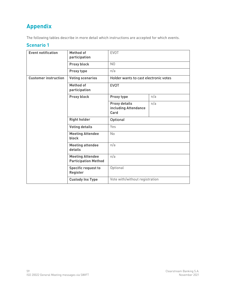# **Appendix**

The following tables describe in more detail which instructions are accepted for which events.

# **Scenario 1**

| <b>Event notification</b>   | <b>Method of</b><br>participation                      | <b>EVOT</b><br>N <sub>0</sub><br>n/a                 |     |
|-----------------------------|--------------------------------------------------------|------------------------------------------------------|-----|
|                             | Proxy block                                            |                                                      |     |
|                             | Proxy type                                             |                                                      |     |
| <b>Customer instruction</b> | <b>Voting scenarios</b>                                | Holder wants to cast electronic votes<br><b>EVOT</b> |     |
|                             | <b>Method of</b><br>participation                      |                                                      |     |
|                             | Proxy block                                            | Proxy type                                           | n/a |
|                             |                                                        | <b>Proxy details</b><br>including Attendance<br>Card | n/a |
|                             | <b>Right holder</b>                                    | Optional                                             |     |
|                             | <b>Voting details</b>                                  | Yes                                                  |     |
|                             | <b>Meeting Attendee</b><br><b>block</b>                | No                                                   |     |
|                             | <b>Meeting attendee</b><br>details                     | n/a                                                  |     |
|                             | <b>Meeting Attendee</b><br><b>Participation Method</b> | n/a                                                  |     |
|                             | <b>Specific request to</b><br><b>Register</b>          | Optional                                             |     |
|                             | <b>Custody Inx Type</b>                                | Vote with/without registration                       |     |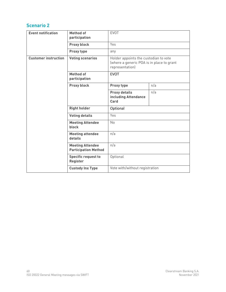# **Scenario 2**

| <b>Event notification</b>                                 | <b>Method of</b><br>participation                         | <b>EVOT</b>                                                                                                          |     |
|-----------------------------------------------------------|-----------------------------------------------------------|----------------------------------------------------------------------------------------------------------------------|-----|
|                                                           | Proxy block                                               | Yes                                                                                                                  |     |
|                                                           | Proxy type                                                | any                                                                                                                  |     |
| <b>Customer instruction</b>                               | <b>Voting scenarios</b>                                   | Holder appoints the custodian to vote<br>(where a generic POA is in place to grant<br>representation)<br><b>EVOT</b> |     |
|                                                           | <b>Method of</b><br>participation                         |                                                                                                                      |     |
|                                                           | Proxy block                                               | Proxy type                                                                                                           | n/a |
|                                                           |                                                           | <b>Proxy details</b><br>including Attendance<br>Card                                                                 | n/a |
|                                                           | <b>Right holder</b>                                       | Optional<br>Yes<br>No<br>n/a<br>n/a                                                                                  |     |
|                                                           | <b>Voting details</b>                                     |                                                                                                                      |     |
|                                                           | <b>Meeting Attendee</b><br><b>block</b>                   |                                                                                                                      |     |
|                                                           | <b>Meeting attendee</b><br>details                        |                                                                                                                      |     |
|                                                           | <b>Meeting Attendee</b><br><b>Participation Method</b>    |                                                                                                                      |     |
| Optional<br><b>Specific request to</b><br><b>Register</b> |                                                           |                                                                                                                      |     |
|                                                           | Vote with/without registration<br><b>Custody Inx Type</b> |                                                                                                                      |     |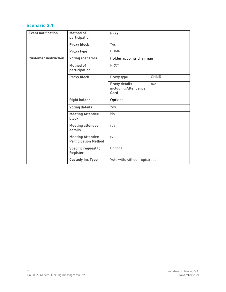| <b>Event notification</b>   | <b>Method of</b><br>participation                      | <b>PRXY</b><br>Yes<br><b>CHMR</b>                    |             |
|-----------------------------|--------------------------------------------------------|------------------------------------------------------|-------------|
|                             | Proxy block                                            |                                                      |             |
|                             | Proxy type                                             |                                                      |             |
| <b>Customer instruction</b> | <b>Voting scenarios</b>                                | Holder appoints chairman<br><b>PRXY</b>              |             |
|                             | <b>Method of</b><br>participation                      |                                                      |             |
|                             | Proxy block                                            | Proxy type                                           | <b>CHMR</b> |
|                             |                                                        | <b>Proxy details</b><br>including Attendance<br>Card | n/a         |
|                             | <b>Right holder</b>                                    | Optional                                             |             |
|                             | <b>Voting details</b>                                  | Yes                                                  |             |
|                             | <b>Meeting Attendee</b><br>block                       | <b>No</b>                                            |             |
|                             | <b>Meeting attendee</b><br>details                     | n/a                                                  |             |
|                             | <b>Meeting Attendee</b><br><b>Participation Method</b> | n/a                                                  |             |
|                             | <b>Specific request to</b><br><b>Register</b>          | Optional                                             |             |
|                             | <b>Custody Inx Type</b>                                | Vote with/without registration                       |             |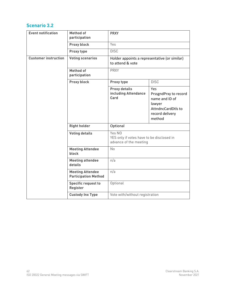| <b>Event notification</b>   | <b>Method of</b><br>participation                      | <b>PRXY</b><br>Yes<br><b>DISC</b>                                             |                                                                                                             |
|-----------------------------|--------------------------------------------------------|-------------------------------------------------------------------------------|-------------------------------------------------------------------------------------------------------------|
|                             | Proxy block                                            |                                                                               |                                                                                                             |
|                             | Proxy type                                             |                                                                               |                                                                                                             |
| <b>Customer instruction</b> | <b>Voting scenarios</b>                                | Holder appoints a representative (or similar)<br>to attend & vote             |                                                                                                             |
|                             | <b>Method of</b><br>participation                      | <b>PRXY</b>                                                                   |                                                                                                             |
|                             | Proxy block                                            | Proxy type                                                                    | <b>DISC</b>                                                                                                 |
|                             |                                                        | <b>Proxy details</b><br>including Attendance<br>Card                          | Yes<br>PrssgndPrxy to record<br>name and ID of<br>lawyer<br>AttndncCardDtls to<br>record delivery<br>method |
|                             | <b>Right holder</b>                                    | Optional                                                                      |                                                                                                             |
|                             | <b>Voting details</b>                                  | Yes NO<br>YES only if votes have to be disclosed in<br>advance of the meeting |                                                                                                             |
|                             | <b>Meeting Attendee</b><br><b>block</b>                | No                                                                            |                                                                                                             |
|                             | <b>Meeting attendee</b><br>details                     | n/a                                                                           |                                                                                                             |
|                             | <b>Meeting Attendee</b><br><b>Participation Method</b> | n/a                                                                           |                                                                                                             |
|                             | <b>Specific request to</b><br><b>Register</b>          | Optional                                                                      |                                                                                                             |
|                             | <b>Custody Inx Type</b>                                | Vote with/without registration                                                |                                                                                                             |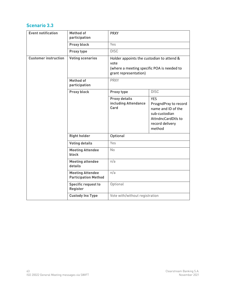| <b>Event notification</b>   | <b>Method of</b><br>participation                      | <b>PRXY</b><br>Yes<br><b>DISC</b>                                                                                        |                                                                                                                               |
|-----------------------------|--------------------------------------------------------|--------------------------------------------------------------------------------------------------------------------------|-------------------------------------------------------------------------------------------------------------------------------|
|                             | Proxy block                                            |                                                                                                                          |                                                                                                                               |
|                             | Proxy type                                             |                                                                                                                          |                                                                                                                               |
| <b>Customer instruction</b> | <b>Voting scenarios</b>                                | Holder appoints the custodian to attend &<br>vote<br>(where a meeting specific POA is needed to<br>grant representation) |                                                                                                                               |
|                             | <b>Method of</b><br>participation                      | <b>PRXY</b>                                                                                                              |                                                                                                                               |
|                             | Proxy block                                            | Proxy type                                                                                                               | <b>DISC</b>                                                                                                                   |
|                             |                                                        | <b>Proxy details</b><br>including Attendance<br>Card                                                                     | <b>YES</b><br>PrssgndPrxy to record<br>name and ID of the<br>sub-custodian<br>AttndncCardDtls to<br>record delivery<br>method |
|                             | <b>Right holder</b>                                    | Optional                                                                                                                 |                                                                                                                               |
|                             | <b>Voting details</b>                                  | Yes                                                                                                                      |                                                                                                                               |
|                             | <b>Meeting Attendee</b><br>block                       | <b>No</b>                                                                                                                |                                                                                                                               |
|                             | <b>Meeting attendee</b><br>details                     | n/a                                                                                                                      |                                                                                                                               |
|                             | <b>Meeting Attendee</b><br><b>Participation Method</b> | n/a                                                                                                                      |                                                                                                                               |
|                             | <b>Specific request to</b><br>Register                 | Optional                                                                                                                 |                                                                                                                               |
|                             | <b>Custody Inx Type</b>                                | Vote with/without registration                                                                                           |                                                                                                                               |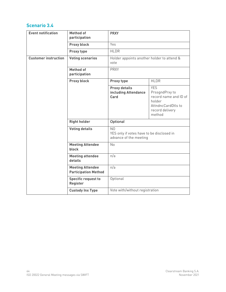| <b>Event notification</b>   | <b>Method of</b><br>participation                      | <b>PRXY</b>                                                                           |                                                                                                                    |
|-----------------------------|--------------------------------------------------------|---------------------------------------------------------------------------------------|--------------------------------------------------------------------------------------------------------------------|
|                             | Proxy block                                            | Yes                                                                                   |                                                                                                                    |
|                             | Proxy type                                             | <b>HLDR</b>                                                                           |                                                                                                                    |
| <b>Customer instruction</b> | <b>Voting scenarios</b>                                | Holder appoints another holder to attend &<br>vote<br><b>PRXY</b>                     |                                                                                                                    |
|                             | <b>Method of</b><br>participation                      |                                                                                       |                                                                                                                    |
|                             | Proxy block                                            | Proxy type                                                                            | <b>HLDR</b>                                                                                                        |
|                             |                                                        | <b>Proxy details</b><br>including Attendance<br>Card                                  | <b>YES</b><br>PrssgndPrxy to<br>record name and ID of<br>holder<br>AttndncCardDtls to<br>record delivery<br>method |
|                             | <b>Right holder</b>                                    | Optional                                                                              |                                                                                                                    |
|                             | <b>Voting details</b>                                  | N <sub>0</sub><br>YES only if votes have to be disclosed in<br>advance of the meeting |                                                                                                                    |
|                             | <b>Meeting Attendee</b><br>block                       | No                                                                                    |                                                                                                                    |
|                             | <b>Meeting attendee</b><br>details                     | n/a                                                                                   |                                                                                                                    |
|                             | <b>Meeting Attendee</b><br><b>Participation Method</b> | n/a                                                                                   |                                                                                                                    |
|                             | <b>Specific request to</b><br>Register                 | Optional                                                                              |                                                                                                                    |
|                             | <b>Custody Inx Type</b>                                | Vote with/without registration                                                        |                                                                                                                    |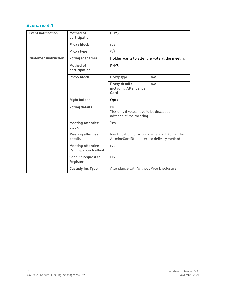| <b>Event notification</b>   | <b>Method of</b><br>participation                      | <b>PHYS</b><br>n/a                                                                                 |     |
|-----------------------------|--------------------------------------------------------|----------------------------------------------------------------------------------------------------|-----|
|                             | Proxy block                                            |                                                                                                    |     |
|                             | Proxy type                                             | n/a                                                                                                |     |
| <b>Customer instruction</b> | <b>Voting scenarios</b>                                | Holder wants to attend & vote at the meeting                                                       |     |
|                             | <b>Method of</b><br>participation                      | <b>PHYS</b>                                                                                        |     |
|                             | Proxy block                                            | Proxy type                                                                                         | n/a |
|                             |                                                        | <b>Proxy details</b><br>including Attendance<br>Card                                               | n/a |
|                             | <b>Right holder</b>                                    | Optional<br>N <sub>0</sub><br>YES only if votes have to be disclosed in<br>advance of the meeting  |     |
|                             | <b>Voting details</b>                                  |                                                                                                    |     |
|                             | <b>Meeting Attendee</b><br>block                       | Yes                                                                                                |     |
|                             | <b>Meeting attendee</b><br>details                     | Identification to record name and ID of holder<br>AttndncCardDtls to record delivery method<br>n/a |     |
|                             | <b>Meeting Attendee</b><br><b>Participation Method</b> |                                                                                                    |     |
|                             | <b>Specific request to</b><br><b>Register</b>          | No                                                                                                 |     |
|                             | <b>Custody Inx Type</b>                                | Attendance with/without Vote Disclosure                                                            |     |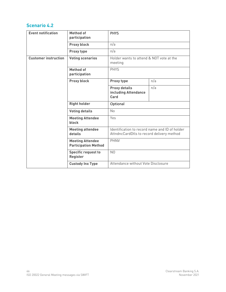| <b>Event notification</b>   | <b>Method of</b><br>participation                      | <b>PHYS</b><br>n/a<br>n/a                                                                   |     |
|-----------------------------|--------------------------------------------------------|---------------------------------------------------------------------------------------------|-----|
|                             | Proxy block                                            |                                                                                             |     |
|                             | Proxy type                                             |                                                                                             |     |
| <b>Customer instruction</b> | <b>Voting scenarios</b>                                | Holder wants to attend & NOT vote at the<br>meeting<br><b>PHYS</b>                          |     |
|                             | <b>Method of</b><br>participation                      |                                                                                             |     |
|                             | <b>Proxy block</b>                                     | Proxy type                                                                                  | n/a |
|                             |                                                        | <b>Proxy details</b><br>including Attendance<br>Card                                        | n/a |
|                             | <b>Right holder</b>                                    | Optional                                                                                    |     |
|                             | <b>Voting details</b>                                  | No                                                                                          |     |
|                             | <b>Meeting Attendee</b><br><b>block</b>                | Yes                                                                                         |     |
|                             | <b>Meeting attendee</b><br>details                     | Identification to record name and ID of holder<br>AttndncCardDtls to record delivery method |     |
|                             | <b>Meeting Attendee</b><br><b>Participation Method</b> | <b>PHNV</b>                                                                                 |     |
|                             | <b>Specific request to</b><br><b>Register</b>          | N <sub>0</sub>                                                                              |     |
|                             | <b>Custody Inx Type</b>                                | Attendance without Vote Disclosure                                                          |     |